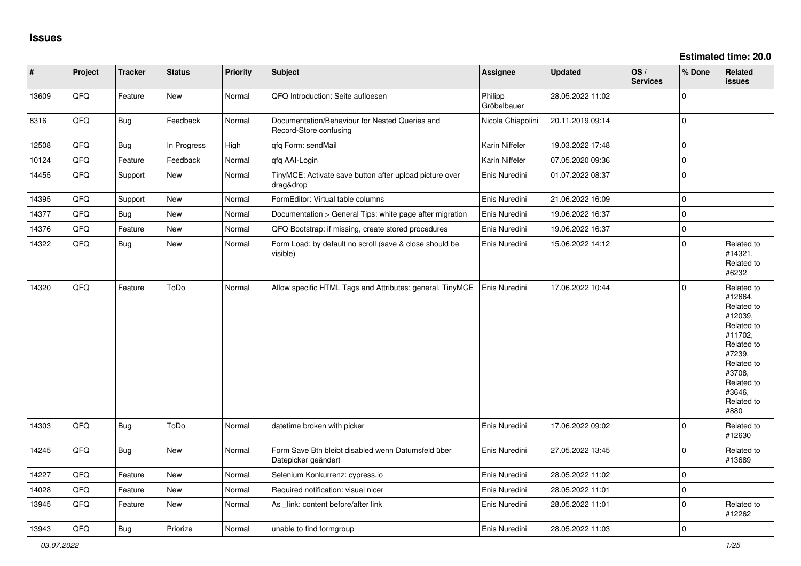| $\pmb{\#}$ | Project | <b>Tracker</b> | <b>Status</b> | <b>Priority</b> | Subject                                                                   | <b>Assignee</b>        | <b>Updated</b>   | OS/<br><b>Services</b> | % Done      | Related<br>issues                                                                                                                                                     |
|------------|---------|----------------|---------------|-----------------|---------------------------------------------------------------------------|------------------------|------------------|------------------------|-------------|-----------------------------------------------------------------------------------------------------------------------------------------------------------------------|
| 13609      | QFQ     | Feature        | <b>New</b>    | Normal          | QFQ Introduction: Seite aufloesen                                         | Philipp<br>Gröbelbauer | 28.05.2022 11:02 |                        | $\Omega$    |                                                                                                                                                                       |
| 8316       | QFQ     | Bug            | Feedback      | Normal          | Documentation/Behaviour for Nested Queries and<br>Record-Store confusing  | Nicola Chiapolini      | 20.11.2019 09:14 |                        | $\Omega$    |                                                                                                                                                                       |
| 12508      | QFQ     | <b>Bug</b>     | In Progress   | High            | qfq Form: sendMail                                                        | Karin Niffeler         | 19.03.2022 17:48 |                        | $\mathbf 0$ |                                                                                                                                                                       |
| 10124      | QFQ     | Feature        | Feedback      | Normal          | gfg AAI-Login                                                             | Karin Niffeler         | 07.05.2020 09:36 |                        | 0           |                                                                                                                                                                       |
| 14455      | QFQ     | Support        | <b>New</b>    | Normal          | TinyMCE: Activate save button after upload picture over<br>drag&drop      | Enis Nuredini          | 01.07.2022 08:37 |                        | $\Omega$    |                                                                                                                                                                       |
| 14395      | QFQ     | Support        | New           | Normal          | FormEditor: Virtual table columns                                         | Enis Nuredini          | 21.06.2022 16:09 |                        | $\mathbf 0$ |                                                                                                                                                                       |
| 14377      | QFQ     | Bug            | <b>New</b>    | Normal          | Documentation > General Tips: white page after migration                  | Enis Nuredini          | 19.06.2022 16:37 |                        | $\mathbf 0$ |                                                                                                                                                                       |
| 14376      | QFQ     | Feature        | <b>New</b>    | Normal          | QFQ Bootstrap: if missing, create stored procedures                       | Enis Nuredini          | 19.06.2022 16:37 |                        | 0           |                                                                                                                                                                       |
| 14322      | QFQ     | Bug            | <b>New</b>    | Normal          | Form Load: by default no scroll (save & close should be<br>visible)       | Enis Nuredini          | 15.06.2022 14:12 |                        | $\mathbf 0$ | Related to<br>#14321,<br>Related to<br>#6232                                                                                                                          |
| 14320      | QFQ     | Feature        | ToDo          | Normal          | Allow specific HTML Tags and Attributes: general, TinyMCE                 | Enis Nuredini          | 17.06.2022 10:44 |                        | $\Omega$    | Related to<br>#12664,<br>Related to<br>#12039,<br>Related to<br>#11702,<br>Related to<br>#7239,<br>Related to<br>#3708,<br>Related to<br>#3646,<br>Related to<br>#880 |
| 14303      | QFQ     | <b>Bug</b>     | ToDo          | Normal          | datetime broken with picker                                               | Enis Nuredini          | 17.06.2022 09:02 |                        | $\Omega$    | Related to<br>#12630                                                                                                                                                  |
| 14245      | QFQ     | Bug            | New           | Normal          | Form Save Btn bleibt disabled wenn Datumsfeld über<br>Datepicker geändert | Enis Nuredini          | 27.05.2022 13:45 |                        | $\Omega$    | Related to<br>#13689                                                                                                                                                  |
| 14227      | QFQ     | Feature        | <b>New</b>    | Normal          | Selenium Konkurrenz: cypress.io                                           | Enis Nuredini          | 28.05.2022 11:02 |                        | $\Omega$    |                                                                                                                                                                       |
| 14028      | QFQ     | Feature        | <b>New</b>    | Normal          | Required notification: visual nicer                                       | Enis Nuredini          | 28.05.2022 11:01 |                        | $\Omega$    |                                                                                                                                                                       |
| 13945      | QFQ     | Feature        | New           | Normal          | As link: content before/after link                                        | Enis Nuredini          | 28.05.2022 11:01 |                        | $\Omega$    | Related to<br>#12262                                                                                                                                                  |
| 13943      | QFQ     | <b>Bug</b>     | Priorize      | Normal          | unable to find formgroup                                                  | Enis Nuredini          | 28.05.2022 11:03 |                        | $\Omega$    |                                                                                                                                                                       |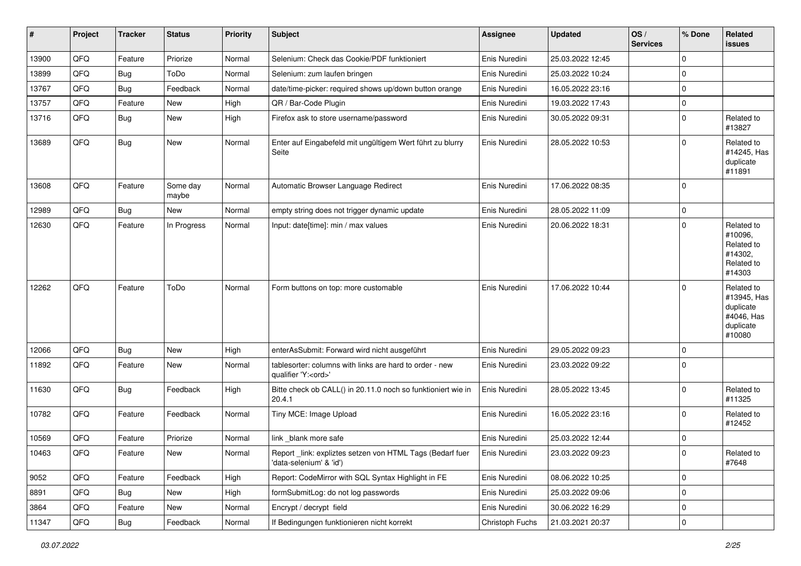| #     | Project | <b>Tracker</b> | <b>Status</b>     | <b>Priority</b> | <b>Subject</b>                                                                        | <b>Assignee</b> | <b>Updated</b>   | OS/<br><b>Services</b> | % Done      | Related<br>issues                                                           |
|-------|---------|----------------|-------------------|-----------------|---------------------------------------------------------------------------------------|-----------------|------------------|------------------------|-------------|-----------------------------------------------------------------------------|
| 13900 | QFQ     | Feature        | Priorize          | Normal          | Selenium: Check das Cookie/PDF funktioniert                                           | Enis Nuredini   | 25.03.2022 12:45 |                        | $\Omega$    |                                                                             |
| 13899 | QFQ     | <b>Bug</b>     | ToDo              | Normal          | Selenium: zum laufen bringen                                                          | Enis Nuredini   | 25.03.2022 10:24 |                        | $\Omega$    |                                                                             |
| 13767 | QFQ     | Bug            | Feedback          | Normal          | date/time-picker: required shows up/down button orange                                | Enis Nuredini   | 16.05.2022 23:16 |                        | $\Omega$    |                                                                             |
| 13757 | QFQ     | Feature        | New               | High            | QR / Bar-Code Plugin                                                                  | Enis Nuredini   | 19.03.2022 17:43 |                        | $\Omega$    |                                                                             |
| 13716 | QFQ     | Bug            | New               | High            | Firefox ask to store username/password                                                | Enis Nuredini   | 30.05.2022 09:31 |                        | $\mathbf 0$ | Related to<br>#13827                                                        |
| 13689 | QFQ     | <b>Bug</b>     | <b>New</b>        | Normal          | Enter auf Eingabefeld mit ungültigem Wert führt zu blurry<br>Seite                    | Enis Nuredini   | 28.05.2022 10:53 |                        | $\Omega$    | Related to<br>#14245, Has<br>duplicate<br>#11891                            |
| 13608 | QFQ     | Feature        | Some day<br>maybe | Normal          | Automatic Browser Language Redirect                                                   | Enis Nuredini   | 17.06.2022 08:35 |                        | $\Omega$    |                                                                             |
| 12989 | QFQ     | <b>Bug</b>     | New               | Normal          | empty string does not trigger dynamic update                                          | Enis Nuredini   | 28.05.2022 11:09 |                        | $\mathbf 0$ |                                                                             |
| 12630 | QFQ     | Feature        | In Progress       | Normal          | Input: date[time]: min / max values                                                   | Enis Nuredini   | 20.06.2022 18:31 |                        | $\Omega$    | Related to<br>#10096,<br>Related to<br>#14302,<br>Related to<br>#14303      |
| 12262 | QFQ     | Feature        | ToDo              | Normal          | Form buttons on top: more customable                                                  | Enis Nuredini   | 17.06.2022 10:44 |                        | $\Omega$    | Related to<br>#13945, Has<br>duplicate<br>#4046, Has<br>duplicate<br>#10080 |
| 12066 | QFQ     | <b>Bug</b>     | <b>New</b>        | High            | enterAsSubmit: Forward wird nicht ausgeführt                                          | Enis Nuredini   | 29.05.2022 09:23 |                        | $\Omega$    |                                                                             |
| 11892 | QFQ     | Feature        | <b>New</b>        | Normal          | tablesorter: columns with links are hard to order - new<br>qualifier 'Y: <ord>'</ord> | Enis Nuredini   | 23.03.2022 09:22 |                        | $\Omega$    |                                                                             |
| 11630 | QFQ     | Bug            | Feedback          | High            | Bitte check ob CALL() in 20.11.0 noch so funktioniert wie in<br>20.4.1                | Enis Nuredini   | 28.05.2022 13:45 |                        | $\Omega$    | Related to<br>#11325                                                        |
| 10782 | QFQ     | Feature        | Feedback          | Normal          | Tiny MCE: Image Upload                                                                | Enis Nuredini   | 16.05.2022 23:16 |                        | $\Omega$    | Related to<br>#12452                                                        |
| 10569 | QFQ     | Feature        | Priorize          | Normal          | link_blank more safe                                                                  | Enis Nuredini   | 25.03.2022 12:44 |                        | $\Omega$    |                                                                             |
| 10463 | QFQ     | Feature        | New               | Normal          | Report _link: expliztes setzen von HTML Tags (Bedarf fuer<br>'data-selenium' & 'id')  | Enis Nuredini   | 23.03.2022 09:23 |                        | 0           | Related to<br>#7648                                                         |
| 9052  | QFQ     | Feature        | Feedback          | High            | Report: CodeMirror with SQL Syntax Highlight in FE                                    | Enis Nuredini   | 08.06.2022 10:25 |                        | $\mathbf 0$ |                                                                             |
| 8891  | QFQ     | <b>Bug</b>     | New               | High            | formSubmitLog: do not log passwords                                                   | Enis Nuredini   | 25.03.2022 09:06 |                        | $\mathbf 0$ |                                                                             |
| 3864  | QFQ     | Feature        | New               | Normal          | Encrypt / decrypt field                                                               | Enis Nuredini   | 30.06.2022 16:29 |                        | 0           |                                                                             |
| 11347 | QFG     | Bug            | Feedback          | Normal          | If Bedingungen funktionieren nicht korrekt                                            | Christoph Fuchs | 21.03.2021 20:37 |                        | $\mathsf 0$ |                                                                             |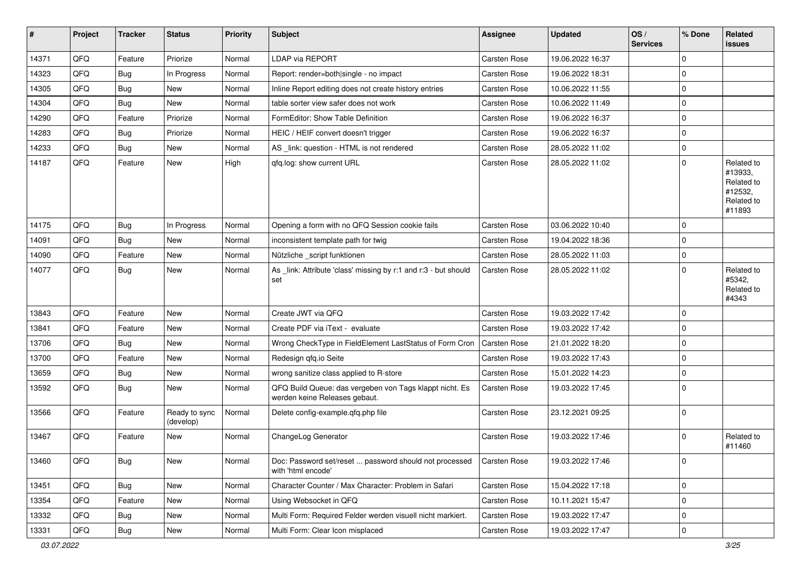| #     | Project | <b>Tracker</b> | <b>Status</b>              | <b>Priority</b> | <b>Subject</b>                                                                           | Assignee            | <b>Updated</b>   | OS/<br><b>Services</b> | % Done      | Related<br><b>issues</b>                                               |
|-------|---------|----------------|----------------------------|-----------------|------------------------------------------------------------------------------------------|---------------------|------------------|------------------------|-------------|------------------------------------------------------------------------|
| 14371 | QFQ     | Feature        | Priorize                   | Normal          | LDAP via REPORT                                                                          | Carsten Rose        | 19.06.2022 16:37 |                        | $\Omega$    |                                                                        |
| 14323 | QFQ     | <b>Bug</b>     | In Progress                | Normal          | Report: render=both single - no impact                                                   | Carsten Rose        | 19.06.2022 18:31 |                        | $\mathbf 0$ |                                                                        |
| 14305 | QFQ     | <b>Bug</b>     | New                        | Normal          | Inline Report editing does not create history entries                                    | Carsten Rose        | 10.06.2022 11:55 |                        | $\Omega$    |                                                                        |
| 14304 | QFQ     | Bug            | New                        | Normal          | table sorter view safer does not work                                                    | Carsten Rose        | 10.06.2022 11:49 |                        | $\mathbf 0$ |                                                                        |
| 14290 | QFQ     | Feature        | Priorize                   | Normal          | FormEditor: Show Table Definition                                                        | Carsten Rose        | 19.06.2022 16:37 |                        | $\mathbf 0$ |                                                                        |
| 14283 | QFQ     | <b>Bug</b>     | Priorize                   | Normal          | HEIC / HEIF convert doesn't trigger                                                      | Carsten Rose        | 19.06.2022 16:37 |                        | $\mathbf 0$ |                                                                        |
| 14233 | QFQ     | <b>Bug</b>     | New                        | Normal          | AS _link: question - HTML is not rendered                                                | Carsten Rose        | 28.05.2022 11:02 |                        | $\mathbf 0$ |                                                                        |
| 14187 | QFQ     | Feature        | New                        | High            | gfg.log: show current URL                                                                | Carsten Rose        | 28.05.2022 11:02 |                        | $\mathbf 0$ | Related to<br>#13933,<br>Related to<br>#12532,<br>Related to<br>#11893 |
| 14175 | QFQ     | Bug            | In Progress                | Normal          | Opening a form with no QFQ Session cookie fails                                          | Carsten Rose        | 03.06.2022 10:40 |                        | $\mathbf 0$ |                                                                        |
| 14091 | QFQ     | Bug            | <b>New</b>                 | Normal          | inconsistent template path for twig                                                      | Carsten Rose        | 19.04.2022 18:36 |                        | $\mathbf 0$ |                                                                        |
| 14090 | QFQ     | Feature        | <b>New</b>                 | Normal          | Nützliche script funktionen                                                              | Carsten Rose        | 28.05.2022 11:03 |                        | 0           |                                                                        |
| 14077 | QFQ     | Bug            | New                        | Normal          | As _link: Attribute 'class' missing by r:1 and r:3 - but should<br>set                   | <b>Carsten Rose</b> | 28.05.2022 11:02 |                        | $\Omega$    | Related to<br>#5342,<br>Related to<br>#4343                            |
| 13843 | QFQ     | Feature        | New                        | Normal          | Create JWT via QFQ                                                                       | Carsten Rose        | 19.03.2022 17:42 |                        | 0           |                                                                        |
| 13841 | QFQ     | Feature        | New                        | Normal          | Create PDF via iText - evaluate                                                          | Carsten Rose        | 19.03.2022 17:42 |                        | $\mathbf 0$ |                                                                        |
| 13706 | QFQ     | <b>Bug</b>     | <b>New</b>                 | Normal          | Wrong CheckType in FieldElement LastStatus of Form Cron                                  | Carsten Rose        | 21.01.2022 18:20 |                        | $\mathbf 0$ |                                                                        |
| 13700 | QFQ     | Feature        | <b>New</b>                 | Normal          | Redesign qfq.io Seite                                                                    | Carsten Rose        | 19.03.2022 17:43 |                        | $\mathbf 0$ |                                                                        |
| 13659 | QFQ     | <b>Bug</b>     | <b>New</b>                 | Normal          | wrong sanitize class applied to R-store                                                  | Carsten Rose        | 15.01.2022 14:23 |                        | $\mathbf 0$ |                                                                        |
| 13592 | QFQ     | Bug            | <b>New</b>                 | Normal          | QFQ Build Queue: das vergeben von Tags klappt nicht. Es<br>werden keine Releases gebaut. | Carsten Rose        | 19.03.2022 17:45 |                        | $\mathbf 0$ |                                                                        |
| 13566 | QFQ     | Feature        | Ready to sync<br>(develop) | Normal          | Delete config-example.qfq.php file                                                       | Carsten Rose        | 23.12.2021 09:25 |                        | $\mathbf 0$ |                                                                        |
| 13467 | QFQ     | Feature        | New                        | Normal          | ChangeLog Generator                                                                      | Carsten Rose        | 19.03.2022 17:46 |                        | $\mathbf 0$ | Related to<br>#11460                                                   |
| 13460 | QFQ     | Bug            | New                        | Normal          | Doc: Password set/reset  password should not processed<br>with 'html encode'             | Carsten Rose        | 19.03.2022 17:46 |                        | $\mathbf 0$ |                                                                        |
| 13451 | QFQ     | <b>Bug</b>     | New                        | Normal          | Character Counter / Max Character: Problem in Safari                                     | Carsten Rose        | 15.04.2022 17:18 |                        | $\mathbf 0$ |                                                                        |
| 13354 | QFQ     | Feature        | New                        | Normal          | Using Websocket in QFQ                                                                   | Carsten Rose        | 10.11.2021 15:47 |                        | 0           |                                                                        |
| 13332 | QFQ     | <b>Bug</b>     | New                        | Normal          | Multi Form: Required Felder werden visuell nicht markiert.                               | Carsten Rose        | 19.03.2022 17:47 |                        | 0           |                                                                        |
| 13331 | QFQ     | <b>Bug</b>     | New                        | Normal          | Multi Form: Clear Icon misplaced                                                         | Carsten Rose        | 19.03.2022 17:47 |                        | 0           |                                                                        |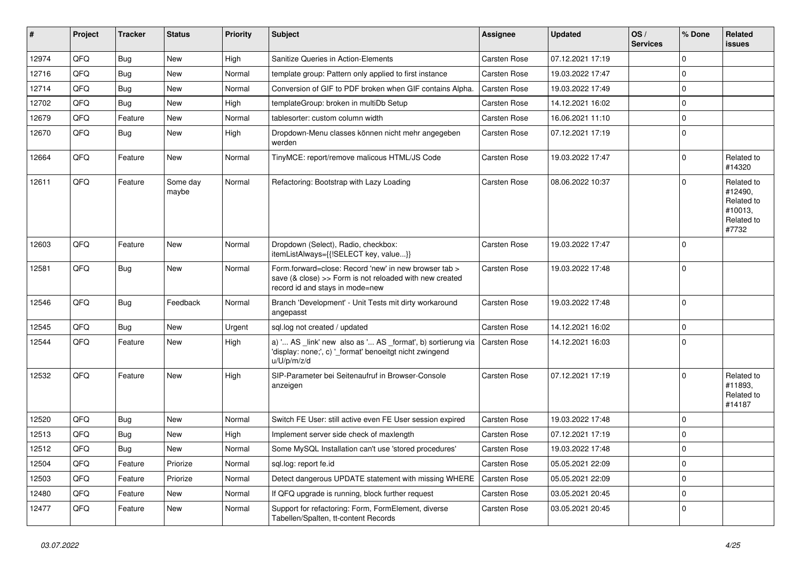| #     | Project | <b>Tracker</b> | <b>Status</b>     | <b>Priority</b> | <b>Subject</b>                                                                                                                                      | <b>Assignee</b>     | <b>Updated</b>   | OS/<br><b>Services</b> | % Done      | Related<br><b>issues</b>                                              |
|-------|---------|----------------|-------------------|-----------------|-----------------------------------------------------------------------------------------------------------------------------------------------------|---------------------|------------------|------------------------|-------------|-----------------------------------------------------------------------|
| 12974 | QFQ     | <b>Bug</b>     | <b>New</b>        | High            | Sanitize Queries in Action-Elements                                                                                                                 | Carsten Rose        | 07.12.2021 17:19 |                        | $\mathbf 0$ |                                                                       |
| 12716 | QFQ     | <b>Bug</b>     | New               | Normal          | template group: Pattern only applied to first instance                                                                                              | <b>Carsten Rose</b> | 19.03.2022 17:47 |                        | $\mathbf 0$ |                                                                       |
| 12714 | QFQ     | <b>Bug</b>     | New               | Normal          | Conversion of GIF to PDF broken when GIF contains Alpha.                                                                                            | Carsten Rose        | 19.03.2022 17:49 |                        | $\mathbf 0$ |                                                                       |
| 12702 | QFQ     | Bug            | <b>New</b>        | High            | templateGroup: broken in multiDb Setup                                                                                                              | Carsten Rose        | 14.12.2021 16:02 |                        | $\mathbf 0$ |                                                                       |
| 12679 | QFQ     | Feature        | <b>New</b>        | Normal          | tablesorter: custom column width                                                                                                                    | Carsten Rose        | 16.06.2021 11:10 |                        | $\mathbf 0$ |                                                                       |
| 12670 | QFQ     | <b>Bug</b>     | New               | High            | Dropdown-Menu classes können nicht mehr angegeben<br>werden                                                                                         | Carsten Rose        | 07.12.2021 17:19 |                        | $\mathbf 0$ |                                                                       |
| 12664 | QFQ     | Feature        | <b>New</b>        | Normal          | TinyMCE: report/remove malicous HTML/JS Code                                                                                                        | Carsten Rose        | 19.03.2022 17:47 |                        | $\Omega$    | Related to<br>#14320                                                  |
| 12611 | QFQ     | Feature        | Some day<br>maybe | Normal          | Refactoring: Bootstrap with Lazy Loading                                                                                                            | <b>Carsten Rose</b> | 08.06.2022 10:37 |                        | $\Omega$    | Related to<br>#12490,<br>Related to<br>#10013,<br>Related to<br>#7732 |
| 12603 | QFQ     | Feature        | <b>New</b>        | Normal          | Dropdown (Select), Radio, checkbox:<br>itemListAlways={{!SELECT key, value}}                                                                        | <b>Carsten Rose</b> | 19.03.2022 17:47 |                        | 0           |                                                                       |
| 12581 | QFQ     | Bug            | <b>New</b>        | Normal          | Form.forward=close: Record 'new' in new browser tab ><br>save (& close) >> Form is not reloaded with new created<br>record id and stays in mode=new | Carsten Rose        | 19.03.2022 17:48 |                        | $\Omega$    |                                                                       |
| 12546 | QFQ     | Bug            | Feedback          | Normal          | Branch 'Development' - Unit Tests mit dirty workaround<br>angepasst                                                                                 | Carsten Rose        | 19.03.2022 17:48 |                        | $\mathbf 0$ |                                                                       |
| 12545 | QFQ     | <b>Bug</b>     | <b>New</b>        | Urgent          | sql.log not created / updated                                                                                                                       | <b>Carsten Rose</b> | 14.12.2021 16:02 |                        | $\mathbf 0$ |                                                                       |
| 12544 | QFQ     | Feature        | New               | High            | a) ' AS _link' new also as ' AS _format', b) sortierung via<br>'display: none;', c) '_format' benoeitgt nicht zwingend<br>u/U/p/m/z/d               | <b>Carsten Rose</b> | 14.12.2021 16:03 |                        | 0           |                                                                       |
| 12532 | QFQ     | Feature        | <b>New</b>        | High            | SIP-Parameter bei Seitenaufruf in Browser-Console<br>anzeigen                                                                                       | Carsten Rose        | 07.12.2021 17:19 |                        | $\Omega$    | Related to<br>#11893,<br>Related to<br>#14187                         |
| 12520 | QFQ     | <b>Bug</b>     | <b>New</b>        | Normal          | Switch FE User: still active even FE User session expired                                                                                           | Carsten Rose        | 19.03.2022 17:48 |                        | $\Omega$    |                                                                       |
| 12513 | QFQ     | Bug            | <b>New</b>        | High            | Implement server side check of maxlength                                                                                                            | <b>Carsten Rose</b> | 07.12.2021 17:19 |                        | 0           |                                                                       |
| 12512 | QFQ     | <b>Bug</b>     | <b>New</b>        | Normal          | Some MySQL Installation can't use 'stored procedures'                                                                                               | Carsten Rose        | 19.03.2022 17:48 |                        | $\Omega$    |                                                                       |
| 12504 | QFQ     | Feature        | Priorize          | Normal          | sql.log: report fe.id                                                                                                                               | Carsten Rose        | 05.05.2021 22:09 |                        | $\mathbf 0$ |                                                                       |
| 12503 | QFQ     | Feature        | Priorize          | Normal          | Detect dangerous UPDATE statement with missing WHERE                                                                                                | Carsten Rose        | 05.05.2021 22:09 |                        | $\mathbf 0$ |                                                                       |
| 12480 | QFQ     | Feature        | New               | Normal          | If QFQ upgrade is running, block further request                                                                                                    | Carsten Rose        | 03.05.2021 20:45 |                        | $\mathbf 0$ |                                                                       |
| 12477 | QFQ     | Feature        | New               | Normal          | Support for refactoring: Form, FormElement, diverse<br>Tabellen/Spalten, tt-content Records                                                         | Carsten Rose        | 03.05.2021 20:45 |                        | 0           |                                                                       |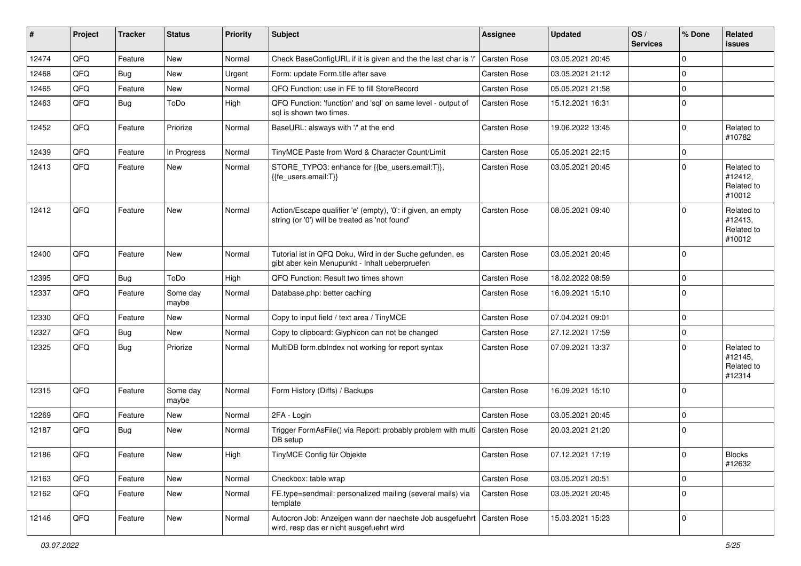| #     | Project | <b>Tracker</b> | <b>Status</b>     | <b>Priority</b> | <b>Subject</b>                                                                                                 | Assignee            | <b>Updated</b>   | OS/<br><b>Services</b> | % Done      | Related<br>issues                             |
|-------|---------|----------------|-------------------|-----------------|----------------------------------------------------------------------------------------------------------------|---------------------|------------------|------------------------|-------------|-----------------------------------------------|
| 12474 | QFQ     | Feature        | <b>New</b>        | Normal          | Check BaseConfigURL if it is given and the the last char is '/'                                                | Carsten Rose        | 03.05.2021 20:45 |                        | $\Omega$    |                                               |
| 12468 | QFQ     | <b>Bug</b>     | <b>New</b>        | Urgent          | Form: update Form.title after save                                                                             | Carsten Rose        | 03.05.2021 21:12 |                        | $\mathbf 0$ |                                               |
| 12465 | QFQ     | Feature        | New               | Normal          | QFQ Function: use in FE to fill StoreRecord                                                                    | Carsten Rose        | 05.05.2021 21:58 |                        | $\mathbf 0$ |                                               |
| 12463 | QFQ     | <b>Bug</b>     | ToDo              | High            | QFQ Function: 'function' and 'sql' on same level - output of<br>sql is shown two times.                        | Carsten Rose        | 15.12.2021 16:31 |                        | $\mathbf 0$ |                                               |
| 12452 | QFQ     | Feature        | Priorize          | Normal          | BaseURL: alsways with '/' at the end                                                                           | Carsten Rose        | 19.06.2022 13:45 |                        | $\mathbf 0$ | Related to<br>#10782                          |
| 12439 | QFQ     | Feature        | In Progress       | Normal          | TinyMCE Paste from Word & Character Count/Limit                                                                | <b>Carsten Rose</b> | 05.05.2021 22:15 |                        | $\mathbf 0$ |                                               |
| 12413 | QFQ     | Feature        | <b>New</b>        | Normal          | STORE_TYPO3: enhance for {{be_users.email:T}},<br>{{fe users.email:T}}                                         | Carsten Rose        | 03.05.2021 20:45 |                        | $\Omega$    | Related to<br>#12412,<br>Related to<br>#10012 |
| 12412 | QFQ     | Feature        | <b>New</b>        | Normal          | Action/Escape qualifier 'e' (empty), '0': if given, an empty<br>string (or '0') will be treated as 'not found' | Carsten Rose        | 08.05.2021 09:40 |                        | $\Omega$    | Related to<br>#12413,<br>Related to<br>#10012 |
| 12400 | QFQ     | Feature        | New               | Normal          | Tutorial ist in QFQ Doku, Wird in der Suche gefunden, es<br>gibt aber kein Menupunkt - Inhalt ueberpruefen     | <b>Carsten Rose</b> | 03.05.2021 20:45 |                        | $\mathbf 0$ |                                               |
| 12395 | QFQ     | Bug            | ToDo              | High            | QFQ Function: Result two times shown                                                                           | Carsten Rose        | 18.02.2022 08:59 |                        | $\mathbf 0$ |                                               |
| 12337 | QFQ     | Feature        | Some day<br>maybe | Normal          | Database.php: better caching                                                                                   | Carsten Rose        | 16.09.2021 15:10 |                        | $\mathbf 0$ |                                               |
| 12330 | QFQ     | Feature        | New               | Normal          | Copy to input field / text area / TinyMCE                                                                      | Carsten Rose        | 07.04.2021 09:01 |                        | $\Omega$    |                                               |
| 12327 | QFQ     | Bug            | <b>New</b>        | Normal          | Copy to clipboard: Glyphicon can not be changed                                                                | <b>Carsten Rose</b> | 27.12.2021 17:59 |                        | $\mathbf 0$ |                                               |
| 12325 | QFQ     | Bug            | Priorize          | Normal          | MultiDB form.dblndex not working for report syntax                                                             | Carsten Rose        | 07.09.2021 13:37 |                        | $\Omega$    | Related to<br>#12145,<br>Related to<br>#12314 |
| 12315 | QFQ     | Feature        | Some day<br>maybe | Normal          | Form History (Diffs) / Backups                                                                                 | Carsten Rose        | 16.09.2021 15:10 |                        | $\mathbf 0$ |                                               |
| 12269 | QFQ     | Feature        | New               | Normal          | 2FA - Login                                                                                                    | Carsten Rose        | 03.05.2021 20:45 |                        | $\mathbf 0$ |                                               |
| 12187 | QFQ     | <b>Bug</b>     | New               | Normal          | Trigger FormAsFile() via Report: probably problem with multi   Carsten Rose<br>DB setup                        |                     | 20.03.2021 21:20 |                        | $\mathbf 0$ |                                               |
| 12186 | QFQ     | Feature        | New               | High            | TinyMCE Config für Objekte                                                                                     | Carsten Rose        | 07.12.2021 17:19 |                        | 0           | <b>Blocks</b><br>#12632                       |
| 12163 | QFQ     | Feature        | New               | Normal          | Checkbox: table wrap                                                                                           | Carsten Rose        | 03.05.2021 20:51 |                        | $\mathbf 0$ |                                               |
| 12162 | QFQ     | Feature        | New               | Normal          | FE.type=sendmail: personalized mailing (several mails) via<br>template                                         | Carsten Rose        | 03.05.2021 20:45 |                        | $\mathbf 0$ |                                               |
| 12146 | QFQ     | Feature        | New               | Normal          | Autocron Job: Anzeigen wann der naechste Job ausgefuehrt<br>wird, resp das er nicht ausgefuehrt wird           | Carsten Rose        | 15.03.2021 15:23 |                        | $\mathbf 0$ |                                               |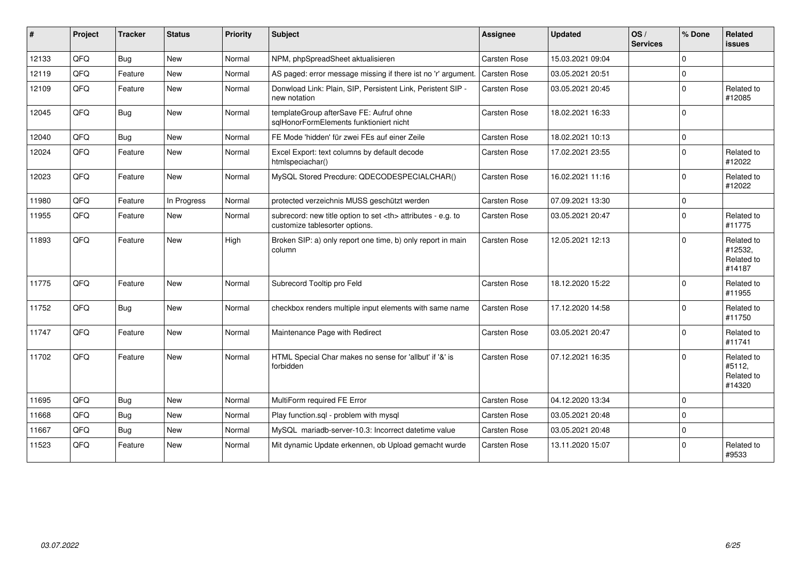| #     | Project | <b>Tracker</b> | <b>Status</b> | <b>Priority</b> | <b>Subject</b>                                                                                       | <b>Assignee</b>                                        | <b>Updated</b>      | OS/<br><b>Services</b> | % Done   | Related<br><b>issues</b>                      |                      |
|-------|---------|----------------|---------------|-----------------|------------------------------------------------------------------------------------------------------|--------------------------------------------------------|---------------------|------------------------|----------|-----------------------------------------------|----------------------|
| 12133 | QFQ     | Bug            | <b>New</b>    | Normal          | NPM, phpSpreadSheet aktualisieren                                                                    | Carsten Rose                                           | 15.03.2021 09:04    |                        | $\Omega$ |                                               |                      |
| 12119 | QFQ     | Feature        | <b>New</b>    | Normal          | AS paged: error message missing if there ist no 'r' argument.                                        | Carsten Rose                                           | 03.05.2021 20:51    |                        | $\Omega$ |                                               |                      |
| 12109 | QFQ     | Feature        | <b>New</b>    | Normal          | Donwload Link: Plain, SIP, Persistent Link, Peristent SIP -<br>new notation                          | Carsten Rose                                           | 03.05.2021 20:45    |                        | $\Omega$ | Related to<br>#12085                          |                      |
| 12045 | QFQ     | <b>Bug</b>     | New           | Normal          | templateGroup afterSave FE: Aufruf ohne<br>salHonorFormElements funktioniert nicht                   | Carsten Rose                                           | 18.02.2021 16:33    |                        | $\Omega$ |                                               |                      |
| 12040 | QFQ     | <b>Bug</b>     | <b>New</b>    | Normal          | FE Mode 'hidden' für zwei FEs auf einer Zeile                                                        | Carsten Rose                                           | 18.02.2021 10:13    |                        | $\Omega$ |                                               |                      |
| 12024 | QFQ     | Feature        | <b>New</b>    | Normal          | Excel Export: text columns by default decode<br>htmlspeciachar()                                     | <b>Carsten Rose</b>                                    | 17.02.2021 23:55    |                        | $\Omega$ | Related to<br>#12022                          |                      |
| 12023 | QFQ     | Feature        | <b>New</b>    | Normal          | MySQL Stored Precdure: QDECODESPECIALCHAR()                                                          | Carsten Rose                                           | 16.02.2021 11:16    |                        | $\Omega$ | Related to<br>#12022                          |                      |
| 11980 | QFQ     | Feature        | In Progress   | Normal          | protected verzeichnis MUSS geschützt werden                                                          | Carsten Rose                                           | 07.09.2021 13:30    |                        | $\Omega$ |                                               |                      |
| 11955 | QFQ     | Feature        | New           | Normal          | subrecord: new title option to set <th> attributes - e.g. to<br/>customize tablesorter options.</th> | attributes - e.g. to<br>customize tablesorter options. | <b>Carsten Rose</b> | 03.05.2021 20:47       |          | $\Omega$                                      | Related to<br>#11775 |
| 11893 | QFQ     | Feature        | <b>New</b>    | High            | Broken SIP: a) only report one time, b) only report in main<br>column                                | <b>Carsten Rose</b>                                    | 12.05.2021 12:13    |                        | $\Omega$ | Related to<br>#12532,<br>Related to<br>#14187 |                      |
| 11775 | QFQ     | Feature        | <b>New</b>    | Normal          | Subrecord Tooltip pro Feld                                                                           | Carsten Rose                                           | 18.12.2020 15:22    |                        | $\Omega$ | Related to<br>#11955                          |                      |
| 11752 | QFQ     | Bug            | <b>New</b>    | Normal          | checkbox renders multiple input elements with same name                                              | Carsten Rose                                           | 17.12.2020 14:58    |                        | $\Omega$ | Related to<br>#11750                          |                      |
| 11747 | QFQ     | Feature        | New           | Normal          | Maintenance Page with Redirect                                                                       | Carsten Rose                                           | 03.05.2021 20:47    |                        | $\Omega$ | Related to<br>#11741                          |                      |
| 11702 | QFQ     | Feature        | New           | Normal          | HTML Special Char makes no sense for 'allbut' if '&' is<br>forbidden                                 | <b>Carsten Rose</b>                                    | 07.12.2021 16:35    |                        | $\Omega$ | Related to<br>#5112,<br>Related to<br>#14320  |                      |
| 11695 | QFQ     | <b>Bug</b>     | <b>New</b>    | Normal          | MultiForm required FE Error                                                                          | Carsten Rose                                           | 04.12.2020 13:34    |                        | $\Omega$ |                                               |                      |
| 11668 | QFQ     | Bug            | <b>New</b>    | Normal          | Play function.sgl - problem with mysgl                                                               | Carsten Rose                                           | 03.05.2021 20:48    |                        | $\Omega$ |                                               |                      |
| 11667 | QFQ     | Bug            | <b>New</b>    | Normal          | MySQL mariadb-server-10.3: Incorrect datetime value                                                  | <b>Carsten Rose</b>                                    | 03.05.2021 20:48    |                        | $\Omega$ |                                               |                      |
| 11523 | QFQ     | Feature        | <b>New</b>    | Normal          | Mit dynamic Update erkennen, ob Upload gemacht wurde                                                 | <b>Carsten Rose</b>                                    | 13.11.2020 15:07    |                        | $\Omega$ | Related to<br>#9533                           |                      |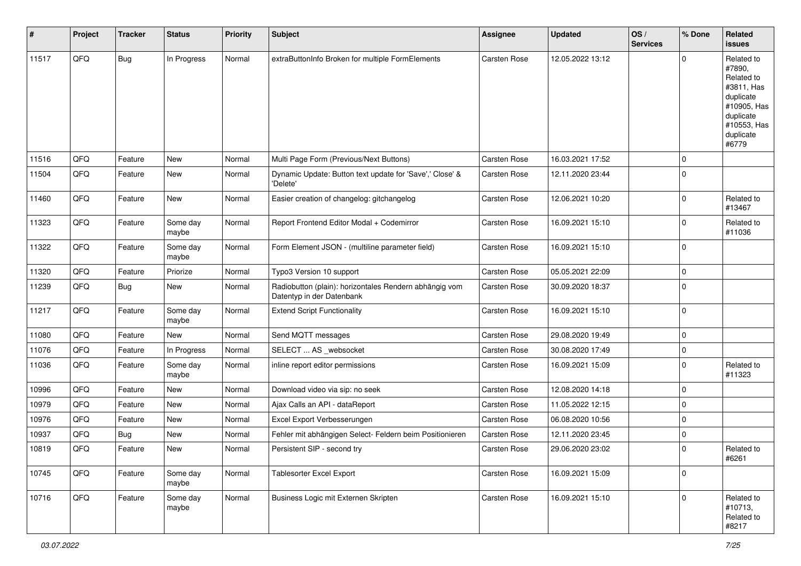| #     | Project | <b>Tracker</b> | <b>Status</b>     | <b>Priority</b> | Subject                                                                             | Assignee            | <b>Updated</b>   | OS/<br><b>Services</b> | % Done      | Related<br><b>issues</b>                                                                                                       |
|-------|---------|----------------|-------------------|-----------------|-------------------------------------------------------------------------------------|---------------------|------------------|------------------------|-------------|--------------------------------------------------------------------------------------------------------------------------------|
| 11517 | QFQ     | <b>Bug</b>     | In Progress       | Normal          | extraButtonInfo Broken for multiple FormElements                                    | Carsten Rose        | 12.05.2022 13:12 |                        | $\Omega$    | Related to<br>#7890,<br>Related to<br>#3811, Has<br>duplicate<br>#10905, Has<br>duplicate<br>#10553, Has<br>duplicate<br>#6779 |
| 11516 | QFQ     | Feature        | <b>New</b>        | Normal          | Multi Page Form (Previous/Next Buttons)                                             | Carsten Rose        | 16.03.2021 17:52 |                        | $\mathbf 0$ |                                                                                                                                |
| 11504 | QFQ     | Feature        | New               | Normal          | Dynamic Update: Button text update for 'Save',' Close' &<br>'Delete'                | <b>Carsten Rose</b> | 12.11.2020 23:44 |                        | $\mathbf 0$ |                                                                                                                                |
| 11460 | QFQ     | Feature        | New               | Normal          | Easier creation of changelog: gitchangelog                                          | Carsten Rose        | 12.06.2021 10:20 |                        | $\mathbf 0$ | Related to<br>#13467                                                                                                           |
| 11323 | QFQ     | Feature        | Some day<br>maybe | Normal          | Report Frontend Editor Modal + Codemirror                                           | Carsten Rose        | 16.09.2021 15:10 |                        | $\mathbf 0$ | Related to<br>#11036                                                                                                           |
| 11322 | QFQ     | Feature        | Some day<br>maybe | Normal          | Form Element JSON - (multiline parameter field)                                     | Carsten Rose        | 16.09.2021 15:10 |                        | $\mathbf 0$ |                                                                                                                                |
| 11320 | QFQ     | Feature        | Priorize          | Normal          | Typo3 Version 10 support                                                            | Carsten Rose        | 05.05.2021 22:09 |                        | $\mathbf 0$ |                                                                                                                                |
| 11239 | QFQ     | <b>Bug</b>     | New               | Normal          | Radiobutton (plain): horizontales Rendern abhängig vom<br>Datentyp in der Datenbank | Carsten Rose        | 30.09.2020 18:37 |                        | $\mathbf 0$ |                                                                                                                                |
| 11217 | QFQ     | Feature        | Some day<br>maybe | Normal          | <b>Extend Script Functionality</b>                                                  | Carsten Rose        | 16.09.2021 15:10 |                        | $\mathbf 0$ |                                                                                                                                |
| 11080 | QFQ     | Feature        | New               | Normal          | Send MQTT messages                                                                  | Carsten Rose        | 29.08.2020 19:49 |                        | $\mathbf 0$ |                                                                                                                                |
| 11076 | QFQ     | Feature        | In Progress       | Normal          | SELECT  AS _websocket                                                               | Carsten Rose        | 30.08.2020 17:49 |                        | $\mathbf 0$ |                                                                                                                                |
| 11036 | QFQ     | Feature        | Some day<br>maybe | Normal          | inline report editor permissions                                                    | Carsten Rose        | 16.09.2021 15:09 |                        | $\mathbf 0$ | Related to<br>#11323                                                                                                           |
| 10996 | QFQ     | Feature        | <b>New</b>        | Normal          | Download video via sip: no seek                                                     | Carsten Rose        | 12.08.2020 14:18 |                        | $\mathbf 0$ |                                                                                                                                |
| 10979 | QFQ     | Feature        | New               | Normal          | Ajax Calls an API - dataReport                                                      | Carsten Rose        | 11.05.2022 12:15 |                        | $\mathbf 0$ |                                                                                                                                |
| 10976 | QFQ     | Feature        | New               | Normal          | Excel Export Verbesserungen                                                         | Carsten Rose        | 06.08.2020 10:56 |                        | $\mathbf 0$ |                                                                                                                                |
| 10937 | QFQ     | Bug            | New               | Normal          | Fehler mit abhängigen Select- Feldern beim Positionieren                            | Carsten Rose        | 12.11.2020 23:45 |                        | $\mathbf 0$ |                                                                                                                                |
| 10819 | QFQ     | Feature        | New               | Normal          | Persistent SIP - second try                                                         | Carsten Rose        | 29.06.2020 23:02 |                        | $\mathbf 0$ | Related to<br>#6261                                                                                                            |
| 10745 | QFO     | Feature        | Some day<br>maybe | Normal          | Tablesorter Excel Export                                                            | Carsten Rose        | 16.09.2021 15:09 |                        | $\mathbf 0$ |                                                                                                                                |
| 10716 | QFO     | Feature        | Some day<br>maybe | Normal          | Business Logic mit Externen Skripten                                                | Carsten Rose        | 16.09.2021 15:10 |                        | $\mathbf 0$ | Related to<br>#10713,<br>Related to<br>#8217                                                                                   |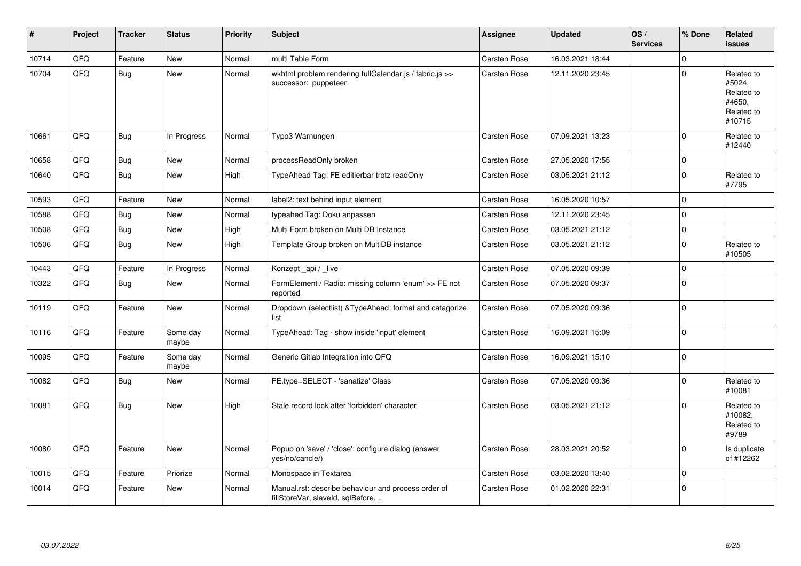| #     | Project | <b>Tracker</b> | <b>Status</b>     | <b>Priority</b> | <b>Subject</b>                                                                           | <b>Assignee</b>     | <b>Updated</b>   | OS/<br><b>Services</b> | % Done      | Related<br><b>issues</b>                                             |
|-------|---------|----------------|-------------------|-----------------|------------------------------------------------------------------------------------------|---------------------|------------------|------------------------|-------------|----------------------------------------------------------------------|
| 10714 | QFQ     | Feature        | <b>New</b>        | Normal          | multi Table Form                                                                         | Carsten Rose        | 16.03.2021 18:44 |                        | $\mathbf 0$ |                                                                      |
| 10704 | QFQ     | Bug            | <b>New</b>        | Normal          | wkhtml problem rendering fullCalendar.js / fabric.js >><br>successor: puppeteer          | Carsten Rose        | 12.11.2020 23:45 |                        | $\mathbf 0$ | Related to<br>#5024,<br>Related to<br>#4650.<br>Related to<br>#10715 |
| 10661 | QFQ     | <b>Bug</b>     | In Progress       | Normal          | Typo3 Warnungen                                                                          | Carsten Rose        | 07.09.2021 13:23 |                        | $\mathbf 0$ | Related to<br>#12440                                                 |
| 10658 | QFQ     | <b>Bug</b>     | <b>New</b>        | Normal          | processReadOnly broken                                                                   | Carsten Rose        | 27.05.2020 17:55 |                        | $\pmb{0}$   |                                                                      |
| 10640 | QFQ     | Bug            | <b>New</b>        | High            | TypeAhead Tag: FE editierbar trotz readOnly                                              | Carsten Rose        | 03.05.2021 21:12 |                        | $\Omega$    | Related to<br>#7795                                                  |
| 10593 | QFQ     | Feature        | <b>New</b>        | Normal          | label2: text behind input element                                                        | Carsten Rose        | 16.05.2020 10:57 |                        | $\mathbf 0$ |                                                                      |
| 10588 | QFQ     | Bug            | <b>New</b>        | Normal          | typeahed Tag: Doku anpassen                                                              | Carsten Rose        | 12.11.2020 23:45 |                        | $\mathbf 0$ |                                                                      |
| 10508 | QFQ     | <b>Bug</b>     | <b>New</b>        | High            | Multi Form broken on Multi DB Instance                                                   | Carsten Rose        | 03.05.2021 21:12 |                        | $\mathbf 0$ |                                                                      |
| 10506 | QFQ     | <b>Bug</b>     | New               | High            | Template Group broken on MultiDB instance                                                | <b>Carsten Rose</b> | 03.05.2021 21:12 |                        | $\pmb{0}$   | Related to<br>#10505                                                 |
| 10443 | QFQ     | Feature        | In Progress       | Normal          | Konzept api / live                                                                       | Carsten Rose        | 07.05.2020 09:39 |                        | $\mathbf 0$ |                                                                      |
| 10322 | QFQ     | <b>Bug</b>     | New               | Normal          | FormElement / Radio: missing column 'enum' >> FE not<br>reported                         | Carsten Rose        | 07.05.2020 09:37 |                        | $\mathbf 0$ |                                                                      |
| 10119 | QFQ     | Feature        | <b>New</b>        | Normal          | Dropdown (selectlist) & TypeAhead: format and catagorize<br>list                         | <b>Carsten Rose</b> | 07.05.2020 09:36 |                        | $\mathbf 0$ |                                                                      |
| 10116 | QFQ     | Feature        | Some day<br>maybe | Normal          | TypeAhead: Tag - show inside 'input' element                                             | Carsten Rose        | 16.09.2021 15:09 |                        | $\mathbf 0$ |                                                                      |
| 10095 | QFQ     | Feature        | Some day<br>maybe | Normal          | Generic Gitlab Integration into QFQ                                                      | Carsten Rose        | 16.09.2021 15:10 |                        | $\mathbf 0$ |                                                                      |
| 10082 | QFQ     | <b>Bug</b>     | <b>New</b>        | Normal          | FE.type=SELECT - 'sanatize' Class                                                        | Carsten Rose        | 07.05.2020 09:36 |                        | $\mathbf 0$ | Related to<br>#10081                                                 |
| 10081 | QFQ     | <b>Bug</b>     | <b>New</b>        | High            | Stale record lock after 'forbidden' character                                            | Carsten Rose        | 03.05.2021 21:12 |                        | $\Omega$    | Related to<br>#10082.<br>Related to<br>#9789                         |
| 10080 | QFQ     | Feature        | New               | Normal          | Popup on 'save' / 'close': configure dialog (answer<br>yes/no/cancle/)                   | <b>Carsten Rose</b> | 28.03.2021 20:52 |                        | $\mathbf 0$ | Is duplicate<br>of #12262                                            |
| 10015 | QFQ     | Feature        | Priorize          | Normal          | Monospace in Textarea                                                                    | Carsten Rose        | 03.02.2020 13:40 |                        | $\mathbf 0$ |                                                                      |
| 10014 | QFQ     | Feature        | <b>New</b>        | Normal          | Manual.rst: describe behaviour and process order of<br>fillStoreVar, slaveId, sqlBefore, | Carsten Rose        | 01.02.2020 22:31 |                        | $\pmb{0}$   |                                                                      |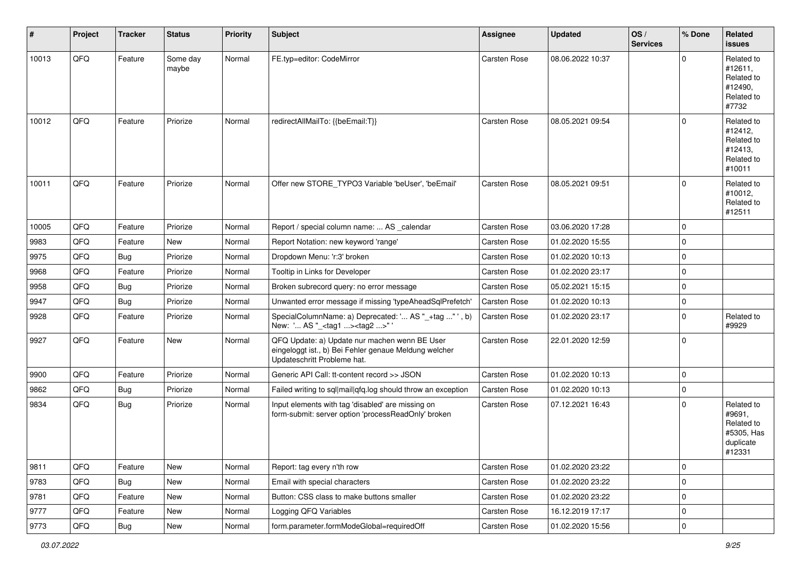| $\vert$ # | Project | <b>Tracker</b> | <b>Status</b>     | <b>Priority</b> | Subject                                                                                                                               | <b>Assignee</b>     | <b>Updated</b>   | $\log$<br><b>Services</b> | % Done      | Related<br>issues                                                       |
|-----------|---------|----------------|-------------------|-----------------|---------------------------------------------------------------------------------------------------------------------------------------|---------------------|------------------|---------------------------|-------------|-------------------------------------------------------------------------|
| 10013     | QFQ     | Feature        | Some day<br>maybe | Normal          | FE.typ=editor: CodeMirror                                                                                                             | Carsten Rose        | 08.06.2022 10:37 |                           | $\Omega$    | Related to<br>#12611,<br>Related to<br>#12490,<br>Related to<br>#7732   |
| 10012     | QFQ     | Feature        | Priorize          | Normal          | redirectAllMailTo: {{beEmail:T}}                                                                                                      | <b>Carsten Rose</b> | 08.05.2021 09:54 |                           | $\Omega$    | Related to<br>#12412,<br>Related to<br>#12413,<br>Related to<br>#10011  |
| 10011     | QFQ     | Feature        | Priorize          | Normal          | Offer new STORE_TYPO3 Variable 'beUser', 'beEmail'                                                                                    | <b>Carsten Rose</b> | 08.05.2021 09:51 |                           | $\Omega$    | Related to<br>#10012,<br>Related to<br>#12511                           |
| 10005     | QFQ     | Feature        | Priorize          | Normal          | Report / special column name:  AS _calendar                                                                                           | Carsten Rose        | 03.06.2020 17:28 |                           | $\Omega$    |                                                                         |
| 9983      | QFQ     | Feature        | New               | Normal          | Report Notation: new keyword 'range'                                                                                                  | <b>Carsten Rose</b> | 01.02.2020 15:55 |                           | $\Omega$    |                                                                         |
| 9975      | QFQ     | Bug            | Priorize          | Normal          | Dropdown Menu: 'r:3' broken                                                                                                           | <b>Carsten Rose</b> | 01.02.2020 10:13 |                           | $\mathbf 0$ |                                                                         |
| 9968      | QFQ     | Feature        | Priorize          | Normal          | Tooltip in Links for Developer                                                                                                        | Carsten Rose        | 01.02.2020 23:17 |                           | $\Omega$    |                                                                         |
| 9958      | QFQ     | Bug            | Priorize          | Normal          | Broken subrecord query: no error message                                                                                              | Carsten Rose        | 05.02.2021 15:15 |                           | $\Omega$    |                                                                         |
| 9947      | QFQ     | Bug            | Priorize          | Normal          | Unwanted error message if missing 'typeAheadSqlPrefetch'                                                                              | <b>Carsten Rose</b> | 01.02.2020 10:13 |                           | 0           |                                                                         |
| 9928      | QFQ     | Feature        | Priorize          | Normal          | SpecialColumnName: a) Deprecated: ' AS "_+tag " ', b)<br>New: ' AS "_ <tag1><tag2>" '</tag2></tag1>                                   | <b>Carsten Rose</b> | 01.02.2020 23:17 |                           | $\Omega$    | Related to<br>#9929                                                     |
| 9927      | QFQ     | Feature        | <b>New</b>        | Normal          | QFQ Update: a) Update nur machen wenn BE User<br>eingeloggt ist., b) Bei Fehler genaue Meldung welcher<br>Updateschritt Probleme hat. | Carsten Rose        | 22.01.2020 12:59 |                           | $\Omega$    |                                                                         |
| 9900      | QFQ     | Feature        | Priorize          | Normal          | Generic API Call: tt-content record >> JSON                                                                                           | Carsten Rose        | 01.02.2020 10:13 |                           | 0           |                                                                         |
| 9862      | QFQ     | Bug            | Priorize          | Normal          | Failed writing to sql mail qfq.log should throw an exception                                                                          | <b>Carsten Rose</b> | 01.02.2020 10:13 |                           | $\mathbf 0$ |                                                                         |
| 9834      | QFQ     | Bug            | Priorize          | Normal          | Input elements with tag 'disabled' are missing on<br>form-submit: server option 'processReadOnly' broken                              | Carsten Rose        | 07.12.2021 16:43 |                           | $\Omega$    | Related to<br>#9691,<br>Related to<br>#5305, Has<br>duplicate<br>#12331 |
| 9811      | QFQ     | Feature        | New               | Normal          | Report: tag every n'th row                                                                                                            | Carsten Rose        | 01.02.2020 23:22 |                           | 0           |                                                                         |
| 9783      | QFQ     | <b>Bug</b>     | New               | Normal          | Email with special characters                                                                                                         | Carsten Rose        | 01.02.2020 23:22 |                           | 0           |                                                                         |
| 9781      | QFQ     | Feature        | New               | Normal          | Button: CSS class to make buttons smaller                                                                                             | Carsten Rose        | 01.02.2020 23:22 |                           | 0           |                                                                         |
| 9777      | QFQ     | Feature        | New               | Normal          | Logging QFQ Variables                                                                                                                 | Carsten Rose        | 16.12.2019 17:17 |                           | 0           |                                                                         |
| 9773      | QFG     | <b>Bug</b>     | New               | Normal          | form.parameter.formModeGlobal=requiredOff                                                                                             | Carsten Rose        | 01.02.2020 15:56 |                           | 0           |                                                                         |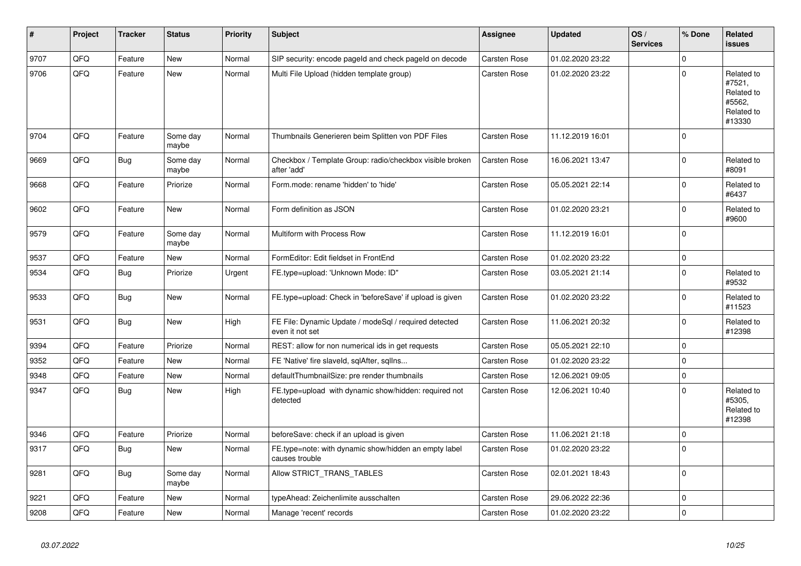| $\vert$ # | Project | <b>Tracker</b> | <b>Status</b>     | <b>Priority</b> | <b>Subject</b>                                                           | <b>Assignee</b>     | <b>Updated</b>   | OS/<br><b>Services</b> | % Done         | Related<br><b>issues</b>                                             |
|-----------|---------|----------------|-------------------|-----------------|--------------------------------------------------------------------------|---------------------|------------------|------------------------|----------------|----------------------------------------------------------------------|
| 9707      | QFQ     | Feature        | <b>New</b>        | Normal          | SIP security: encode pageld and check pageld on decode                   | <b>Carsten Rose</b> | 01.02.2020 23:22 |                        | $\Omega$       |                                                                      |
| 9706      | QFQ     | Feature        | New               | Normal          | Multi File Upload (hidden template group)                                | Carsten Rose        | 01.02.2020 23:22 |                        | $\Omega$       | Related to<br>#7521,<br>Related to<br>#5562,<br>Related to<br>#13330 |
| 9704      | QFQ     | Feature        | Some day<br>maybe | Normal          | Thumbnails Generieren beim Splitten von PDF Files                        | <b>Carsten Rose</b> | 11.12.2019 16:01 |                        | 0              |                                                                      |
| 9669      | QFQ     | <b>Bug</b>     | Some day<br>maybe | Normal          | Checkbox / Template Group: radio/checkbox visible broken<br>after 'add'  | <b>Carsten Rose</b> | 16.06.2021 13:47 |                        | $\Omega$       | Related to<br>#8091                                                  |
| 9668      | QFQ     | Feature        | Priorize          | Normal          | Form.mode: rename 'hidden' to 'hide'                                     | <b>Carsten Rose</b> | 05.05.2021 22:14 |                        | $\Omega$       | Related to<br>#6437                                                  |
| 9602      | QFQ     | Feature        | <b>New</b>        | Normal          | Form definition as JSON                                                  | <b>Carsten Rose</b> | 01.02.2020 23:21 |                        | $\Omega$       | Related to<br>#9600                                                  |
| 9579      | QFQ     | Feature        | Some day<br>maybe | Normal          | Multiform with Process Row                                               | Carsten Rose        | 11.12.2019 16:01 |                        | $\Omega$       |                                                                      |
| 9537      | QFQ     | Feature        | <b>New</b>        | Normal          | FormEditor: Edit fieldset in FrontEnd                                    | <b>Carsten Rose</b> | 01.02.2020 23:22 |                        | 0              |                                                                      |
| 9534      | QFQ     | <b>Bug</b>     | Priorize          | Urgent          | FE.type=upload: 'Unknown Mode: ID"                                       | <b>Carsten Rose</b> | 03.05.2021 21:14 |                        | $\Omega$       | Related to<br>#9532                                                  |
| 9533      | QFQ     | <b>Bug</b>     | New               | Normal          | FE.type=upload: Check in 'beforeSave' if upload is given                 | <b>Carsten Rose</b> | 01.02.2020 23:22 |                        | $\Omega$       | Related to<br>#11523                                                 |
| 9531      | QFQ     | <b>Bug</b>     | New               | High            | FE File: Dynamic Update / modeSql / required detected<br>even it not set | <b>Carsten Rose</b> | 11.06.2021 20:32 |                        | $\overline{0}$ | Related to<br>#12398                                                 |
| 9394      | QFQ     | Feature        | Priorize          | Normal          | REST: allow for non numerical ids in get requests                        | <b>Carsten Rose</b> | 05.05.2021 22:10 |                        | 0              |                                                                      |
| 9352      | QFQ     | Feature        | New               | Normal          | FE 'Native' fire slaveld, sqlAfter, sqlIns                               | Carsten Rose        | 01.02.2020 23:22 |                        | $\Omega$       |                                                                      |
| 9348      | QFQ     | Feature        | New               | Normal          | defaultThumbnailSize: pre render thumbnails                              | <b>Carsten Rose</b> | 12.06.2021 09:05 |                        | $\Omega$       |                                                                      |
| 9347      | QFQ     | Bug            | New               | High            | FE.type=upload with dynamic show/hidden: required not<br>detected        | Carsten Rose        | 12.06.2021 10:40 |                        | $\Omega$       | Related to<br>#5305,<br>Related to<br>#12398                         |
| 9346      | QFQ     | Feature        | Priorize          | Normal          | beforeSave: check if an upload is given                                  | <b>Carsten Rose</b> | 11.06.2021 21:18 |                        | $\Omega$       |                                                                      |
| 9317      | QFQ     | <b>Bug</b>     | New               | Normal          | FE.type=note: with dynamic show/hidden an empty label<br>causes trouble  | <b>Carsten Rose</b> | 01.02.2020 23:22 |                        | 0              |                                                                      |
| 9281      | QFQ     | <b>Bug</b>     | Some day<br>maybe | Normal          | Allow STRICT_TRANS_TABLES                                                | <b>Carsten Rose</b> | 02.01.2021 18:43 |                        | $\Omega$       |                                                                      |
| 9221      | QFQ     | Feature        | <b>New</b>        | Normal          | typeAhead: Zeichenlimite ausschalten                                     | <b>Carsten Rose</b> | 29.06.2022 22:36 |                        | $\overline{0}$ |                                                                      |
| 9208      | QFQ     | Feature        | New               | Normal          | Manage 'recent' records                                                  | Carsten Rose        | 01.02.2020 23:22 |                        | $\Omega$       |                                                                      |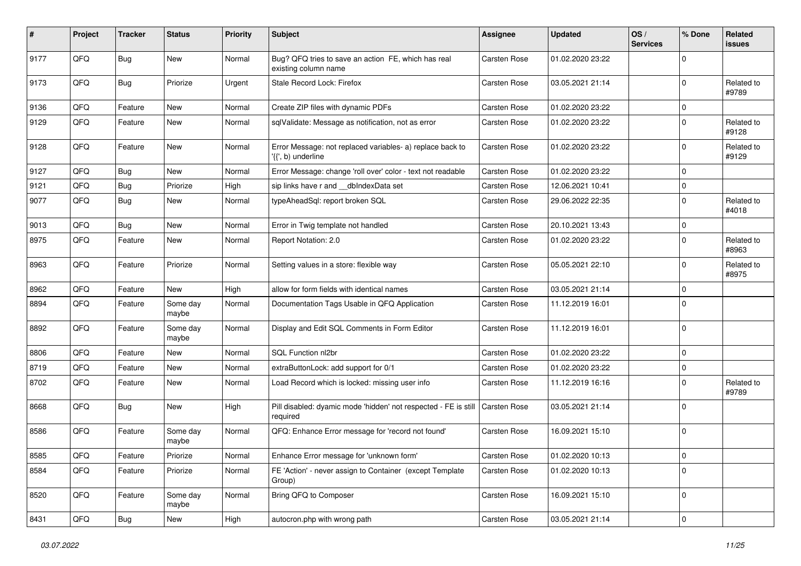| #    | Project | <b>Tracker</b> | <b>Status</b>     | <b>Priority</b> | <b>Subject</b>                                                                  | Assignee            | <b>Updated</b>   | OS/<br><b>Services</b> | % Done      | Related<br><b>issues</b> |
|------|---------|----------------|-------------------|-----------------|---------------------------------------------------------------------------------|---------------------|------------------|------------------------|-------------|--------------------------|
| 9177 | QFQ     | <b>Bug</b>     | New               | Normal          | Bug? QFQ tries to save an action FE, which has real<br>existing column name     | <b>Carsten Rose</b> | 01.02.2020 23:22 |                        | $\mathbf 0$ |                          |
| 9173 | QFQ     | <b>Bug</b>     | Priorize          | Urgent          | Stale Record Lock: Firefox                                                      | Carsten Rose        | 03.05.2021 21:14 |                        | $\mathbf 0$ | Related to<br>#9789      |
| 9136 | QFQ     | Feature        | <b>New</b>        | Normal          | Create ZIP files with dynamic PDFs                                              | Carsten Rose        | 01.02.2020 23:22 |                        | $\mathbf 0$ |                          |
| 9129 | QFQ     | Feature        | New               | Normal          | sqlValidate: Message as notification, not as error                              | Carsten Rose        | 01.02.2020 23:22 |                        | $\mathbf 0$ | Related to<br>#9128      |
| 9128 | QFQ     | Feature        | <b>New</b>        | Normal          | Error Message: not replaced variables- a) replace back to<br>'{{', b) underline | Carsten Rose        | 01.02.2020 23:22 |                        | $\Omega$    | Related to<br>#9129      |
| 9127 | QFQ     | <b>Bug</b>     | <b>New</b>        | Normal          | Error Message: change 'roll over' color - text not readable                     | Carsten Rose        | 01.02.2020 23:22 |                        | $\mathbf 0$ |                          |
| 9121 | QFQ     | <b>Bug</b>     | Priorize          | High            | sip links have r and __dbIndexData set                                          | Carsten Rose        | 12.06.2021 10:41 |                        | $\mathbf 0$ |                          |
| 9077 | QFQ     | <b>Bug</b>     | <b>New</b>        | Normal          | typeAheadSql: report broken SQL                                                 | Carsten Rose        | 29.06.2022 22:35 |                        | $\mathbf 0$ | Related to<br>#4018      |
| 9013 | QFQ     | <b>Bug</b>     | New               | Normal          | Error in Twig template not handled                                              | Carsten Rose        | 20.10.2021 13:43 |                        | $\mathbf 0$ |                          |
| 8975 | QFQ     | Feature        | <b>New</b>        | Normal          | Report Notation: 2.0                                                            | Carsten Rose        | 01.02.2020 23:22 |                        | $\mathbf 0$ | Related to<br>#8963      |
| 8963 | QFQ     | Feature        | Priorize          | Normal          | Setting values in a store: flexible way                                         | Carsten Rose        | 05.05.2021 22:10 |                        | $\mathbf 0$ | Related to<br>#8975      |
| 8962 | QFQ     | Feature        | <b>New</b>        | High            | allow for form fields with identical names                                      | Carsten Rose        | 03.05.2021 21:14 |                        | $\mathbf 0$ |                          |
| 8894 | QFQ     | Feature        | Some day<br>maybe | Normal          | Documentation Tags Usable in QFQ Application                                    | Carsten Rose        | 11.12.2019 16:01 |                        | $\Omega$    |                          |
| 8892 | QFQ     | Feature        | Some day<br>maybe | Normal          | Display and Edit SQL Comments in Form Editor                                    | <b>Carsten Rose</b> | 11.12.2019 16:01 |                        | $\mathbf 0$ |                          |
| 8806 | QFQ     | Feature        | <b>New</b>        | Normal          | <b>SQL Function nl2br</b>                                                       | Carsten Rose        | 01.02.2020 23:22 |                        | $\mathbf 0$ |                          |
| 8719 | QFQ     | Feature        | <b>New</b>        | Normal          | extraButtonLock: add support for 0/1                                            | Carsten Rose        | 01.02.2020 23:22 |                        | $\mathbf 0$ |                          |
| 8702 | QFQ     | Feature        | <b>New</b>        | Normal          | Load Record which is locked: missing user info                                  | <b>Carsten Rose</b> | 11.12.2019 16:16 |                        | $\mathbf 0$ | Related to<br>#9789      |
| 8668 | QFQ     | <b>Bug</b>     | New               | High            | Pill disabled: dyamic mode 'hidden' not respected - FE is still<br>required     | <b>Carsten Rose</b> | 03.05.2021 21:14 |                        | $\Omega$    |                          |
| 8586 | QFQ     | Feature        | Some day<br>maybe | Normal          | QFQ: Enhance Error message for 'record not found'                               | Carsten Rose        | 16.09.2021 15:10 |                        | $\mathbf 0$ |                          |
| 8585 | QFQ     | Feature        | Priorize          | Normal          | Enhance Error message for 'unknown form'                                        | Carsten Rose        | 01.02.2020 10:13 |                        | 0           |                          |
| 8584 | QFQ     | Feature        | Priorize          | Normal          | FE 'Action' - never assign to Container (except Template<br>Group)              | Carsten Rose        | 01.02.2020 10:13 |                        | $\mathbf 0$ |                          |
| 8520 | QFG     | Feature        | Some day<br>maybe | Normal          | Bring QFQ to Composer                                                           | Carsten Rose        | 16.09.2021 15:10 |                        | $\mathbf 0$ |                          |
| 8431 | QFG     | <b>Bug</b>     | New               | High            | autocron.php with wrong path                                                    | Carsten Rose        | 03.05.2021 21:14 |                        | $\pmb{0}$   |                          |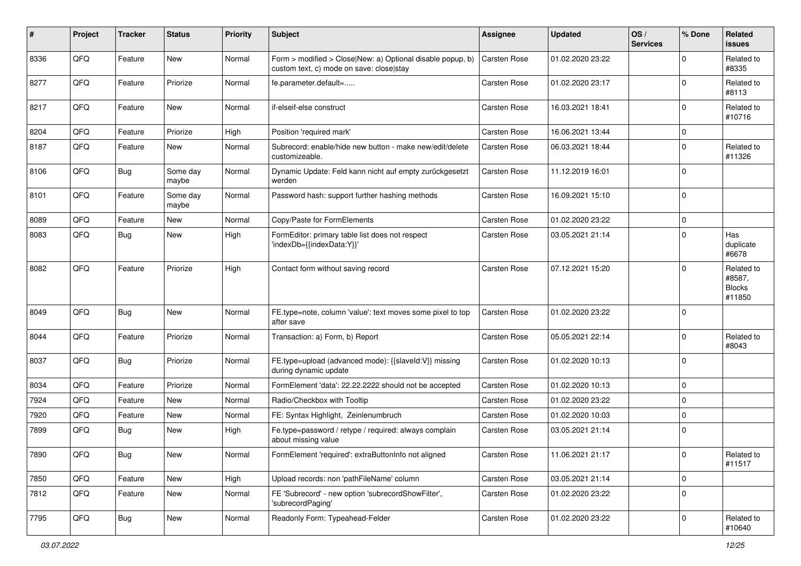| #    | Project | <b>Tracker</b> | <b>Status</b>     | <b>Priority</b> | <b>Subject</b>                                                                                         | Assignee            | <b>Updated</b>   | OS/<br><b>Services</b> | % Done          | Related<br><b>issues</b>                        |
|------|---------|----------------|-------------------|-----------------|--------------------------------------------------------------------------------------------------------|---------------------|------------------|------------------------|-----------------|-------------------------------------------------|
| 8336 | QFQ     | Feature        | New               | Normal          | Form > modified > Close New: a) Optional disable popup, b)<br>custom text, c) mode on save: close stay | Carsten Rose        | 01.02.2020 23:22 |                        | $\Omega$        | Related to<br>#8335                             |
| 8277 | QFQ     | Feature        | Priorize          | Normal          | fe.parameter.default=                                                                                  | Carsten Rose        | 01.02.2020 23:17 |                        | $\mathbf 0$     | Related to<br>#8113                             |
| 8217 | QFQ     | Feature        | New               | Normal          | if-elseif-else construct                                                                               | Carsten Rose        | 16.03.2021 18:41 |                        | $\mathbf 0$     | Related to<br>#10716                            |
| 8204 | QFQ     | Feature        | Priorize          | High            | Position 'required mark'                                                                               | Carsten Rose        | 16.06.2021 13:44 |                        | $\mathbf 0$     |                                                 |
| 8187 | QFQ     | Feature        | New               | Normal          | Subrecord: enable/hide new button - make new/edit/delete<br>customizeable.                             | <b>Carsten Rose</b> | 06.03.2021 18:44 |                        | $\Omega$        | Related to<br>#11326                            |
| 8106 | QFQ     | <b>Bug</b>     | Some day<br>maybe | Normal          | Dynamic Update: Feld kann nicht auf empty zurückgesetzt<br>werden                                      | Carsten Rose        | 11.12.2019 16:01 |                        | $\mathbf 0$     |                                                 |
| 8101 | QFQ     | Feature        | Some day<br>maybe | Normal          | Password hash: support further hashing methods                                                         | Carsten Rose        | 16.09.2021 15:10 |                        | 0               |                                                 |
| 8089 | QFQ     | Feature        | New               | Normal          | Copy/Paste for FormElements                                                                            | Carsten Rose        | 01.02.2020 23:22 |                        | $\mathbf 0$     |                                                 |
| 8083 | QFQ     | <b>Bug</b>     | New               | High            | FormEditor: primary table list does not respect<br>'indexDb={{indexData:Y}}'                           | Carsten Rose        | 03.05.2021 21:14 |                        | $\Omega$        | Has<br>duplicate<br>#6678                       |
| 8082 | QFQ     | Feature        | Priorize          | High            | Contact form without saving record                                                                     | Carsten Rose        | 07.12.2021 15:20 |                        | $\mathbf 0$     | Related to<br>#8587,<br><b>Blocks</b><br>#11850 |
| 8049 | QFQ     | <b>Bug</b>     | New               | Normal          | FE.type=note, column 'value': text moves some pixel to top<br>after save                               | Carsten Rose        | 01.02.2020 23:22 |                        | $\Omega$        |                                                 |
| 8044 | QFQ     | Feature        | Priorize          | Normal          | Transaction: a) Form, b) Report                                                                        | Carsten Rose        | 05.05.2021 22:14 |                        | $\mathbf 0$     | Related to<br>#8043                             |
| 8037 | QFQ     | <b>Bug</b>     | Priorize          | Normal          | FE.type=upload (advanced mode): {{slaveld:V}} missing<br>during dynamic update                         | Carsten Rose        | 01.02.2020 10:13 |                        | $\mathbf 0$     |                                                 |
| 8034 | QFQ     | Feature        | Priorize          | Normal          | FormElement 'data': 22.22.2222 should not be accepted                                                  | Carsten Rose        | 01.02.2020 10:13 |                        | $\mathbf 0$     |                                                 |
| 7924 | QFQ     | Feature        | New               | Normal          | Radio/Checkbox with Tooltip                                                                            | <b>Carsten Rose</b> | 01.02.2020 23:22 |                        | $\mathbf 0$     |                                                 |
| 7920 | QFQ     | Feature        | New               | Normal          | FE: Syntax Highlight, Zeinlenumbruch                                                                   | <b>Carsten Rose</b> | 01.02.2020 10:03 |                        | $\mathbf 0$     |                                                 |
| 7899 | QFQ     | Bug            | New               | High            | Fe.type=password / retype / required: always complain<br>about missing value                           | Carsten Rose        | 03.05.2021 21:14 |                        | $\mathbf 0$     |                                                 |
| 7890 | QFQ     | Bug            | New               | Normal          | FormElement 'required': extraButtonInfo not aligned                                                    | Carsten Rose        | 11.06.2021 21:17 |                        | $\vert 0 \vert$ | Related to<br>#11517                            |
| 7850 | QFQ     | Feature        | New               | High            | Upload records: non 'pathFileName' column                                                              | Carsten Rose        | 03.05.2021 21:14 |                        | $\mathbf 0$     |                                                 |
| 7812 | QFQ     | Feature        | New               | Normal          | FE 'Subrecord' - new option 'subrecordShowFilter',<br>'subrecordPaging'                                | Carsten Rose        | 01.02.2020 23:22 |                        | $\mathbf 0$     |                                                 |
| 7795 | QFQ     | Bug            | New               | Normal          | Readonly Form: Typeahead-Felder                                                                        | Carsten Rose        | 01.02.2020 23:22 |                        | $\mathbf 0$     | Related to<br>#10640                            |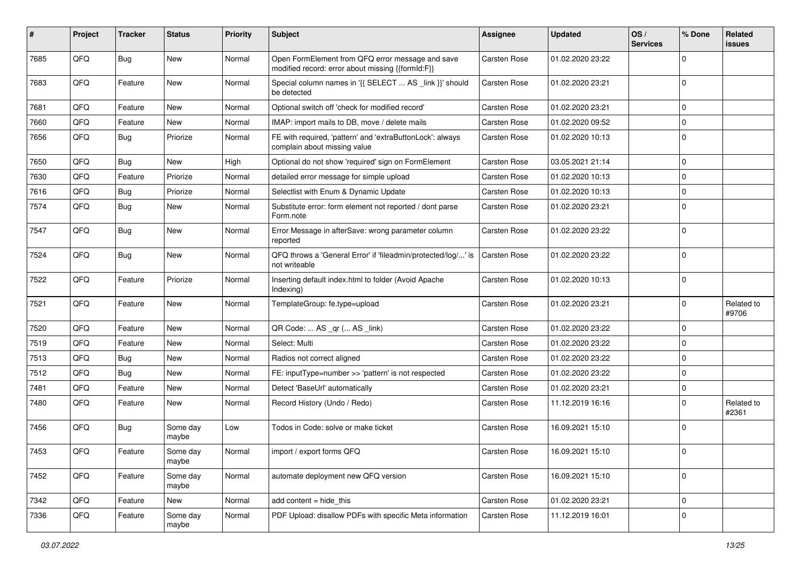| ∦    | Project | <b>Tracker</b> | <b>Status</b>     | <b>Priority</b> | <b>Subject</b>                                                                                        | <b>Assignee</b> | <b>Updated</b>   | OS/<br><b>Services</b> | % Done      | Related<br><b>issues</b> |
|------|---------|----------------|-------------------|-----------------|-------------------------------------------------------------------------------------------------------|-----------------|------------------|------------------------|-------------|--------------------------|
| 7685 | QFQ     | Bug            | New               | Normal          | Open FormElement from QFQ error message and save<br>modified record: error about missing {{formId:F}} | Carsten Rose    | 01.02.2020 23:22 |                        | $\Omega$    |                          |
| 7683 | QFQ     | Feature        | New               | Normal          | Special column names in '{{ SELECT  AS _link }}' should<br>be detected                                | Carsten Rose    | 01.02.2020 23:21 |                        | $\mathbf 0$ |                          |
| 7681 | QFQ     | Feature        | <b>New</b>        | Normal          | Optional switch off 'check for modified record'                                                       | Carsten Rose    | 01.02.2020 23:21 |                        | $\Omega$    |                          |
| 7660 | QFQ     | Feature        | <b>New</b>        | Normal          | IMAP: import mails to DB, move / delete mails                                                         | Carsten Rose    | 01.02.2020 09:52 |                        | $\mathbf 0$ |                          |
| 7656 | QFQ     | Bug            | Priorize          | Normal          | FE with required, 'pattern' and 'extraButtonLock': always<br>complain about missing value             | Carsten Rose    | 01.02.2020 10:13 |                        | 0           |                          |
| 7650 | QFQ     | Bug            | <b>New</b>        | High            | Optional do not show 'required' sign on FormElement                                                   | Carsten Rose    | 03.05.2021 21:14 |                        | $\mathbf 0$ |                          |
| 7630 | QFQ     | Feature        | Priorize          | Normal          | detailed error message for simple upload                                                              | Carsten Rose    | 01.02.2020 10:13 |                        | $\mathbf 0$ |                          |
| 7616 | QFQ     | <b>Bug</b>     | Priorize          | Normal          | Selectlist with Enum & Dynamic Update                                                                 | Carsten Rose    | 01.02.2020 10:13 |                        | $\mathbf 0$ |                          |
| 7574 | QFQ     | <b>Bug</b>     | New               | Normal          | Substitute error: form element not reported / dont parse<br>Form.note                                 | Carsten Rose    | 01.02.2020 23:21 |                        | 0           |                          |
| 7547 | QFQ     | <b>Bug</b>     | New               | Normal          | Error Message in afterSave: wrong parameter column<br>reported                                        | Carsten Rose    | 01.02.2020 23:22 |                        | 0           |                          |
| 7524 | QFQ     | Bug            | <b>New</b>        | Normal          | QFQ throws a 'General Error' if 'fileadmin/protected/log/' is<br>not writeable                        | Carsten Rose    | 01.02.2020 23:22 |                        | $\mathbf 0$ |                          |
| 7522 | QFQ     | Feature        | Priorize          | Normal          | Inserting default index.html to folder (Avoid Apache<br>Indexing)                                     | Carsten Rose    | 01.02.2020 10:13 |                        | 0           |                          |
| 7521 | QFQ     | Feature        | <b>New</b>        | Normal          | TemplateGroup: fe.type=upload                                                                         | Carsten Rose    | 01.02.2020 23:21 |                        | $\mathbf 0$ | Related to<br>#9706      |
| 7520 | QFQ     | Feature        | <b>New</b>        | Normal          | QR Code:  AS _qr ( AS _link)                                                                          | Carsten Rose    | 01.02.2020 23:22 |                        | $\mathbf 0$ |                          |
| 7519 | QFQ     | Feature        | <b>New</b>        | Normal          | Select: Multi                                                                                         | Carsten Rose    | 01.02.2020 23:22 |                        | $\mathbf 0$ |                          |
| 7513 | QFQ     | Bug            | New               | Normal          | Radios not correct aligned                                                                            | Carsten Rose    | 01.02.2020 23:22 |                        | $\Omega$    |                          |
| 7512 | QFQ     | <b>Bug</b>     | New               | Normal          | FE: inputType=number >> 'pattern' is not respected                                                    | Carsten Rose    | 01.02.2020 23:22 |                        | 0           |                          |
| 7481 | QFQ     | Feature        | New               | Normal          | Detect 'BaseUrl' automatically                                                                        | Carsten Rose    | 01.02.2020 23:21 |                        | 0           |                          |
| 7480 | QFQ     | Feature        | New               | Normal          | Record History (Undo / Redo)                                                                          | Carsten Rose    | 11.12.2019 16:16 |                        | $\mathbf 0$ | Related to<br>#2361      |
| 7456 | QFQ     | Bug            | Some day<br>maybe | Low             | Todos in Code: solve or make ticket                                                                   | Carsten Rose    | 16.09.2021 15:10 |                        | $\mathbf 0$ |                          |
| 7453 | QFQ     | Feature        | Some day<br>maybe | Normal          | import / export forms QFQ                                                                             | Carsten Rose    | 16.09.2021 15:10 |                        | $\Omega$    |                          |
| 7452 | QFQ     | Feature        | Some day<br>maybe | Normal          | automate deployment new QFQ version                                                                   | Carsten Rose    | 16.09.2021 15:10 |                        | 0           |                          |
| 7342 | QFQ     | Feature        | New               | Normal          | add content = hide_this                                                                               | Carsten Rose    | 01.02.2020 23:21 |                        | $\mathbf 0$ |                          |
| 7336 | QFQ     | Feature        | Some day<br>maybe | Normal          | PDF Upload: disallow PDFs with specific Meta information                                              | Carsten Rose    | 11.12.2019 16:01 |                        | 0           |                          |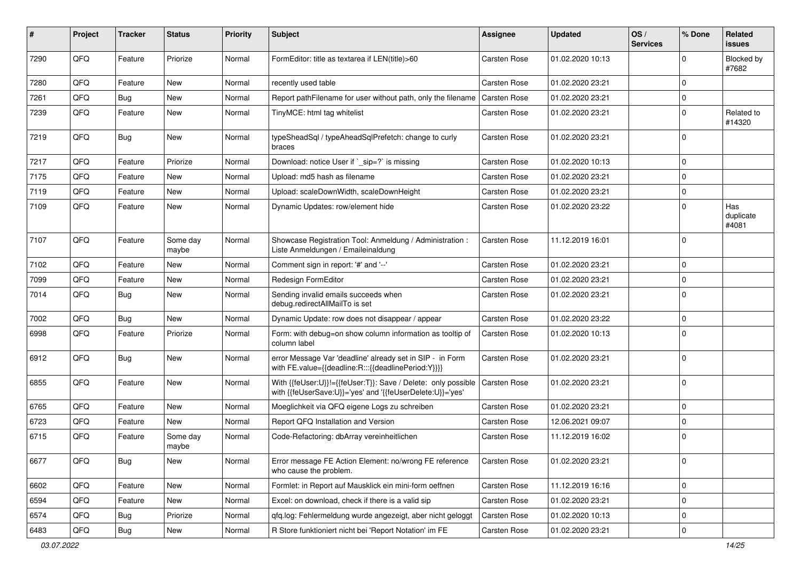| #    | Project | <b>Tracker</b> | <b>Status</b>     | <b>Priority</b> | Subject                                                                                                                    | <b>Assignee</b> | <b>Updated</b>   | OS/<br><b>Services</b> | % Done         | Related<br><b>issues</b>  |
|------|---------|----------------|-------------------|-----------------|----------------------------------------------------------------------------------------------------------------------------|-----------------|------------------|------------------------|----------------|---------------------------|
| 7290 | QFQ     | Feature        | Priorize          | Normal          | FormEditor: title as textarea if LEN(title)>60                                                                             | Carsten Rose    | 01.02.2020 10:13 |                        | $\Omega$       | Blocked by<br>#7682       |
| 7280 | QFQ     | Feature        | <b>New</b>        | Normal          | recently used table                                                                                                        | Carsten Rose    | 01.02.2020 23:21 |                        | $\mathbf 0$    |                           |
| 7261 | QFQ     | Bug            | New               | Normal          | Report pathFilename for user without path, only the filename                                                               | Carsten Rose    | 01.02.2020 23:21 |                        | $\mathbf 0$    |                           |
| 7239 | QFQ     | Feature        | <b>New</b>        | Normal          | TinyMCE: html tag whitelist                                                                                                | Carsten Rose    | 01.02.2020 23:21 |                        | $\Omega$       | Related to<br>#14320      |
| 7219 | QFQ     | <b>Bug</b>     | New               | Normal          | typeSheadSql / typeAheadSqlPrefetch: change to curly<br>braces                                                             | Carsten Rose    | 01.02.2020 23:21 |                        | $\mathbf 0$    |                           |
| 7217 | QFQ     | Feature        | Priorize          | Normal          | Download: notice User if `_sip=?` is missing                                                                               | Carsten Rose    | 01.02.2020 10:13 |                        | $\mathbf 0$    |                           |
| 7175 | QFQ     | Feature        | New               | Normal          | Upload: md5 hash as filename                                                                                               | Carsten Rose    | 01.02.2020 23:21 |                        | $\mathbf 0$    |                           |
| 7119 | QFQ     | Feature        | New               | Normal          | Upload: scaleDownWidth, scaleDownHeight                                                                                    | Carsten Rose    | 01.02.2020 23:21 |                        | $\mathbf 0$    |                           |
| 7109 | QFQ     | Feature        | <b>New</b>        | Normal          | Dynamic Updates: row/element hide                                                                                          | Carsten Rose    | 01.02.2020 23:22 |                        | $\mathbf 0$    | Has<br>duplicate<br>#4081 |
| 7107 | QFQ     | Feature        | Some day<br>maybe | Normal          | Showcase Registration Tool: Anmeldung / Administration :<br>Liste Anmeldungen / Emaileinaldung                             | Carsten Rose    | 11.12.2019 16:01 |                        | $\mathbf 0$    |                           |
| 7102 | QFQ     | Feature        | <b>New</b>        | Normal          | Comment sign in report: '#' and '--'                                                                                       | Carsten Rose    | 01.02.2020 23:21 |                        | $\mathbf 0$    |                           |
| 7099 | QFQ     | Feature        | New               | Normal          | Redesign FormEditor                                                                                                        | Carsten Rose    | 01.02.2020 23:21 |                        | 0              |                           |
| 7014 | QFQ     | Bug            | <b>New</b>        | Normal          | Sending invalid emails succeeds when<br>debug.redirectAllMailTo is set                                                     | Carsten Rose    | 01.02.2020 23:21 |                        | $\mathbf 0$    |                           |
| 7002 | QFQ     | Bug            | New               | Normal          | Dynamic Update: row does not disappear / appear                                                                            | Carsten Rose    | 01.02.2020 23:22 |                        | $\mathbf 0$    |                           |
| 6998 | QFQ     | Feature        | Priorize          | Normal          | Form: with debug=on show column information as tooltip of<br>column label                                                  | Carsten Rose    | 01.02.2020 10:13 |                        | $\mathbf 0$    |                           |
| 6912 | QFQ     | <b>Bug</b>     | <b>New</b>        | Normal          | error Message Var 'deadline' already set in SIP - in Form<br>with FE.value={{deadline:R:::{{deadlinePeriod:Y}}}}           | Carsten Rose    | 01.02.2020 23:21 |                        | $\mathbf 0$    |                           |
| 6855 | QFQ     | Feature        | New               | Normal          | With {{feUser:U}}!={{feUser:T}}: Save / Delete: only possible<br>with {{feUserSave:U}}='yes' and '{{feUserDelete:U}}='yes' | Carsten Rose    | 01.02.2020 23:21 |                        | $\mathbf 0$    |                           |
| 6765 | QFQ     | Feature        | New               | Normal          | Moeglichkeit via QFQ eigene Logs zu schreiben                                                                              | Carsten Rose    | 01.02.2020 23:21 |                        | $\mathbf 0$    |                           |
| 6723 | QFQ     | Feature        | New               | Normal          | Report QFQ Installation and Version                                                                                        | Carsten Rose    | 12.06.2021 09:07 |                        | 0              |                           |
| 6715 | QFQ     | Feature        | Some day<br>maybe | Normal          | Code-Refactoring: dbArray vereinheitlichen                                                                                 | Carsten Rose    | 11.12.2019 16:02 |                        | 0              |                           |
| 6677 | QFQ     | <b>Bug</b>     | New               | Normal          | Error message FE Action Element: no/wrong FE reference<br>who cause the problem.                                           | Carsten Rose    | 01.02.2020 23:21 |                        | 0              |                           |
| 6602 | QFQ     | Feature        | New               | Normal          | Formlet: in Report auf Mausklick ein mini-form oeffnen                                                                     | Carsten Rose    | 11.12.2019 16:16 |                        | $\mathbf 0$    |                           |
| 6594 | QFQ     | Feature        | New               | Normal          | Excel: on download, check if there is a valid sip                                                                          | Carsten Rose    | 01.02.2020 23:21 |                        | 0              |                           |
| 6574 | QFQ     | <b>Bug</b>     | Priorize          | Normal          | qfq.log: Fehlermeldung wurde angezeigt, aber nicht geloggt                                                                 | Carsten Rose    | 01.02.2020 10:13 |                        | 0              |                           |
| 6483 | QFQ     | Bug            | New               | Normal          | R Store funktioniert nicht bei 'Report Notation' im FE                                                                     | Carsten Rose    | 01.02.2020 23:21 |                        | $\overline{0}$ |                           |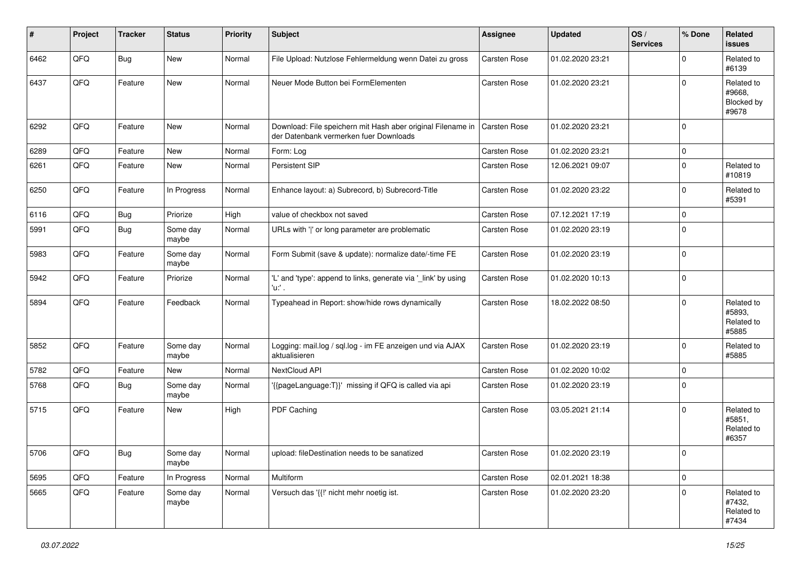| $\sharp$ | Project | <b>Tracker</b> | <b>Status</b>     | <b>Priority</b> | <b>Subject</b>                                                                                        | <b>Assignee</b>     | <b>Updated</b>   | OS/<br><b>Services</b> | % Done      | Related<br><b>issues</b>                    |
|----------|---------|----------------|-------------------|-----------------|-------------------------------------------------------------------------------------------------------|---------------------|------------------|------------------------|-------------|---------------------------------------------|
| 6462     | QFQ     | Bug            | <b>New</b>        | Normal          | File Upload: Nutzlose Fehlermeldung wenn Datei zu gross                                               | Carsten Rose        | 01.02.2020 23:21 |                        | $\Omega$    | Related to<br>#6139                         |
| 6437     | QFQ     | Feature        | New               | Normal          | Neuer Mode Button bei FormElementen                                                                   | Carsten Rose        | 01.02.2020 23:21 |                        | $\Omega$    | Related to<br>#9668,<br>Blocked by<br>#9678 |
| 6292     | QFQ     | Feature        | <b>New</b>        | Normal          | Download: File speichern mit Hash aber original Filename in<br>der Datenbank vermerken fuer Downloads | <b>Carsten Rose</b> | 01.02.2020 23:21 |                        | $\Omega$    |                                             |
| 6289     | QFQ     | Feature        | <b>New</b>        | Normal          | Form: Log                                                                                             | <b>Carsten Rose</b> | 01.02.2020 23:21 |                        | $\mathbf 0$ |                                             |
| 6261     | QFQ     | Feature        | <b>New</b>        | Normal          | Persistent SIP                                                                                        | <b>Carsten Rose</b> | 12.06.2021 09:07 |                        | $\Omega$    | Related to<br>#10819                        |
| 6250     | QFQ     | Feature        | In Progress       | Normal          | Enhance layout: a) Subrecord, b) Subrecord-Title                                                      | Carsten Rose        | 01.02.2020 23:22 |                        | $\Omega$    | Related to<br>#5391                         |
| 6116     | QFQ     | Bug            | Priorize          | High            | value of checkbox not saved                                                                           | Carsten Rose        | 07.12.2021 17:19 |                        | $\Omega$    |                                             |
| 5991     | QFQ     | <b>Bug</b>     | Some day<br>maybe | Normal          | URLs with ' ' or long parameter are problematic                                                       | Carsten Rose        | 01.02.2020 23:19 |                        | $\Omega$    |                                             |
| 5983     | QFQ     | Feature        | Some day<br>maybe | Normal          | Form Submit (save & update): normalize date/-time FE                                                  | <b>Carsten Rose</b> | 01.02.2020 23:19 |                        | $\Omega$    |                                             |
| 5942     | QFQ     | Feature        | Priorize          | Normal          | 'L' and 'type': append to links, generate via '_link' by using<br>'u:' .                              | <b>Carsten Rose</b> | 01.02.2020 10:13 |                        | $\Omega$    |                                             |
| 5894     | QFQ     | Feature        | Feedback          | Normal          | Typeahead in Report: show/hide rows dynamically                                                       | Carsten Rose        | 18.02.2022 08:50 |                        | $\Omega$    | Related to<br>#5893,<br>Related to<br>#5885 |
| 5852     | QFQ     | Feature        | Some day<br>maybe | Normal          | Logging: mail.log / sql.log - im FE anzeigen und via AJAX<br>aktualisieren                            | <b>Carsten Rose</b> | 01.02.2020 23:19 |                        | $\Omega$    | Related to<br>#5885                         |
| 5782     | QFQ     | Feature        | <b>New</b>        | Normal          | NextCloud API                                                                                         | Carsten Rose        | 01.02.2020 10:02 |                        | $\Omega$    |                                             |
| 5768     | QFQ     | <b>Bug</b>     | Some day<br>maybe | Normal          | '{{pageLanguage:T}}' missing if QFQ is called via api                                                 | Carsten Rose        | 01.02.2020 23:19 |                        | $\Omega$    |                                             |
| 5715     | QFQ     | Feature        | New               | High            | PDF Caching                                                                                           | <b>Carsten Rose</b> | 03.05.2021 21:14 |                        | $\Omega$    | Related to<br>#5851,<br>Related to<br>#6357 |
| 5706     | QFQ     | Bug            | Some day<br>maybe | Normal          | upload: fileDestination needs to be sanatized                                                         | Carsten Rose        | 01.02.2020 23:19 |                        |             |                                             |
| 5695     | QFQ     | Feature        | In Progress       | Normal          | Multiform                                                                                             | Carsten Rose        | 02.01.2021 18:38 |                        | $\mathbf 0$ |                                             |
| 5665     | QFQ     | Feature        | Some day<br>maybe | Normal          | Versuch das '{{!' nicht mehr noetig ist.                                                              | Carsten Rose        | 01.02.2020 23:20 |                        | $\Omega$    | Related to<br>#7432,<br>Related to<br>#7434 |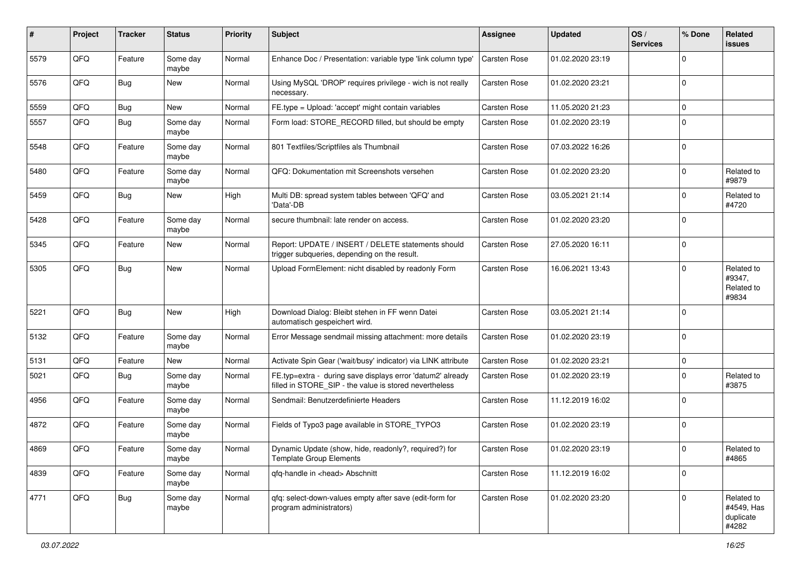| $\#$ | Project | <b>Tracker</b> | <b>Status</b>     | <b>Priority</b> | Subject                                                                                                              | <b>Assignee</b>     | <b>Updated</b>   | OS/<br><b>Services</b> | % Done      | Related<br><b>issues</b>                       |
|------|---------|----------------|-------------------|-----------------|----------------------------------------------------------------------------------------------------------------------|---------------------|------------------|------------------------|-------------|------------------------------------------------|
| 5579 | QFQ     | Feature        | Some day<br>maybe | Normal          | Enhance Doc / Presentation: variable type 'link column type'                                                         | <b>Carsten Rose</b> | 01.02.2020 23:19 |                        | $\Omega$    |                                                |
| 5576 | QFQ     | <b>Bug</b>     | New               | Normal          | Using MySQL 'DROP' requires privilege - wich is not really<br>necessary.                                             | Carsten Rose        | 01.02.2020 23:21 |                        | $\mathbf 0$ |                                                |
| 5559 | QFQ     | <b>Bug</b>     | New               | Normal          | FE.type = Upload: 'accept' might contain variables                                                                   | Carsten Rose        | 11.05.2020 21:23 |                        | $\Omega$    |                                                |
| 5557 | QFQ     | <b>Bug</b>     | Some day<br>maybe | Normal          | Form load: STORE_RECORD filled, but should be empty                                                                  | Carsten Rose        | 01.02.2020 23:19 |                        | $\Omega$    |                                                |
| 5548 | QFQ     | Feature        | Some day<br>maybe | Normal          | 801 Textfiles/Scriptfiles als Thumbnail                                                                              | Carsten Rose        | 07.03.2022 16:26 |                        | $\Omega$    |                                                |
| 5480 | QFQ     | Feature        | Some day<br>maybe | Normal          | QFQ: Dokumentation mit Screenshots versehen                                                                          | <b>Carsten Rose</b> | 01.02.2020 23:20 |                        | $\mathbf 0$ | Related to<br>#9879                            |
| 5459 | QFQ     | <b>Bug</b>     | New               | High            | Multi DB: spread system tables between 'QFQ' and<br>'Data'-DB                                                        | Carsten Rose        | 03.05.2021 21:14 |                        | $\mathbf 0$ | Related to<br>#4720                            |
| 5428 | QFQ     | Feature        | Some day<br>maybe | Normal          | secure thumbnail: late render on access.                                                                             | Carsten Rose        | 01.02.2020 23:20 |                        | $\mathbf 0$ |                                                |
| 5345 | QFQ     | Feature        | New               | Normal          | Report: UPDATE / INSERT / DELETE statements should<br>trigger subqueries, depending on the result.                   | Carsten Rose        | 27.05.2020 16:11 |                        | $\mathbf 0$ |                                                |
| 5305 | QFQ     | <b>Bug</b>     | New               | Normal          | Upload FormElement: nicht disabled by readonly Form                                                                  | Carsten Rose        | 16.06.2021 13:43 |                        | $\mathbf 0$ | Related to<br>#9347,<br>Related to<br>#9834    |
| 5221 | QFQ     | <b>Bug</b>     | <b>New</b>        | High            | Download Dialog: Bleibt stehen in FF wenn Datei<br>automatisch gespeichert wird.                                     | Carsten Rose        | 03.05.2021 21:14 |                        | $\Omega$    |                                                |
| 5132 | QFQ     | Feature        | Some day<br>maybe | Normal          | Error Message sendmail missing attachment: more details                                                              | Carsten Rose        | 01.02.2020 23:19 |                        | $\mathbf 0$ |                                                |
| 5131 | QFQ     | Feature        | New               | Normal          | Activate Spin Gear ('wait/busy' indicator) via LINK attribute                                                        | Carsten Rose        | 01.02.2020 23:21 |                        | $\mathbf 0$ |                                                |
| 5021 | QFQ     | <b>Bug</b>     | Some day<br>maybe | Normal          | FE.typ=extra - during save displays error 'datum2' already<br>filled in STORE_SIP - the value is stored nevertheless | Carsten Rose        | 01.02.2020 23:19 |                        | $\mathbf 0$ | Related to<br>#3875                            |
| 4956 | QFQ     | Feature        | Some day<br>maybe | Normal          | Sendmail: Benutzerdefinierte Headers                                                                                 | Carsten Rose        | 11.12.2019 16:02 |                        | $\mathbf 0$ |                                                |
| 4872 | QFQ     | Feature        | Some day<br>maybe | Normal          | Fields of Typo3 page available in STORE_TYPO3                                                                        | Carsten Rose        | 01.02.2020 23:19 |                        | $\mathbf 0$ |                                                |
| 4869 | QFQ     | Feature        | Some day<br>maybe | Normal          | Dynamic Update (show, hide, readonly?, required?) for<br><b>Template Group Elements</b>                              | Carsten Rose        | 01.02.2020 23:19 |                        | $\mathbf 0$ | Related to<br>#4865                            |
| 4839 | QFQ     | Feature        | Some day<br>maybe | Normal          | qfq-handle in <head> Abschnitt</head>                                                                                | Carsten Rose        | 11.12.2019 16:02 |                        | $\mathbf 0$ |                                                |
| 4771 | QFQ     | Bug            | Some day<br>maybe | Normal          | qfq: select-down-values empty after save (edit-form for<br>program administrators)                                   | Carsten Rose        | 01.02.2020 23:20 |                        | $\mathbf 0$ | Related to<br>#4549, Has<br>duplicate<br>#4282 |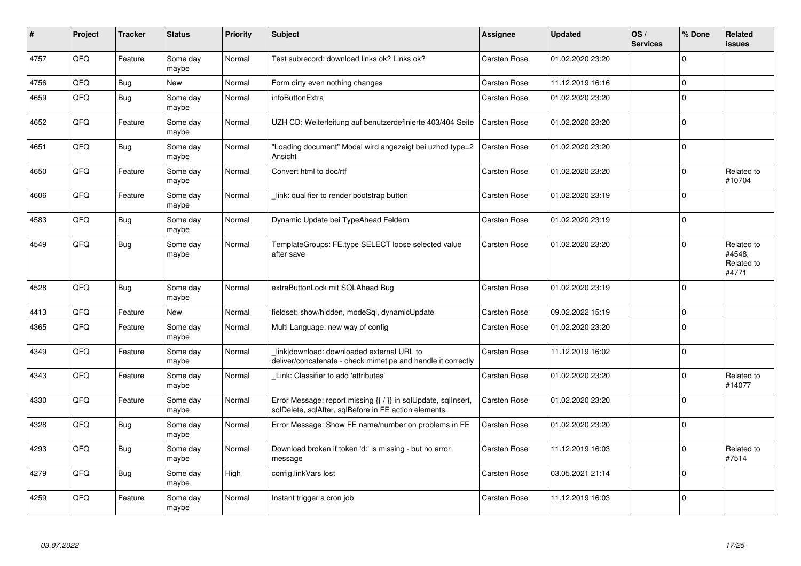| #    | Project | <b>Tracker</b> | <b>Status</b>     | <b>Priority</b> | <b>Subject</b>                                                                                                          | Assignee            | <b>Updated</b>   | OS/<br><b>Services</b> | % Done      | <b>Related</b><br><b>issues</b>             |
|------|---------|----------------|-------------------|-----------------|-------------------------------------------------------------------------------------------------------------------------|---------------------|------------------|------------------------|-------------|---------------------------------------------|
| 4757 | QFQ     | Feature        | Some day<br>maybe | Normal          | Test subrecord: download links ok? Links ok?                                                                            | Carsten Rose        | 01.02.2020 23:20 |                        | $\mathbf 0$ |                                             |
| 4756 | QFQ     | Bug            | <b>New</b>        | Normal          | Form dirty even nothing changes                                                                                         | Carsten Rose        | 11.12.2019 16:16 |                        | $\mathbf 0$ |                                             |
| 4659 | QFQ     | <b>Bug</b>     | Some day<br>maybe | Normal          | <i>infoButtonExtra</i>                                                                                                  | Carsten Rose        | 01.02.2020 23:20 |                        | $\mathbf 0$ |                                             |
| 4652 | QFQ     | Feature        | Some day<br>maybe | Normal          | UZH CD: Weiterleitung auf benutzerdefinierte 403/404 Seite                                                              | <b>Carsten Rose</b> | 01.02.2020 23:20 |                        | $\mathbf 0$ |                                             |
| 4651 | QFQ     | <b>Bug</b>     | Some day<br>maybe | Normal          | "Loading document" Modal wird angezeigt bei uzhcd type=2<br>Ansicht                                                     | Carsten Rose        | 01.02.2020 23:20 |                        | $\mathbf 0$ |                                             |
| 4650 | QFQ     | Feature        | Some day<br>maybe | Normal          | Convert html to doc/rtf                                                                                                 | Carsten Rose        | 01.02.2020 23:20 |                        | $\mathbf 0$ | Related to<br>#10704                        |
| 4606 | QFQ     | Feature        | Some day<br>maybe | Normal          | link: qualifier to render bootstrap button                                                                              | Carsten Rose        | 01.02.2020 23:19 |                        | $\mathbf 0$ |                                             |
| 4583 | QFQ     | <b>Bug</b>     | Some day<br>maybe | Normal          | Dynamic Update bei TypeAhead Feldern                                                                                    | Carsten Rose        | 01.02.2020 23:19 |                        | $\mathbf 0$ |                                             |
| 4549 | QFQ     | Bug            | Some day<br>maybe | Normal          | TemplateGroups: FE.type SELECT loose selected value<br>after save                                                       | Carsten Rose        | 01.02.2020 23:20 |                        | $\mathbf 0$ | Related to<br>#4548,<br>Related to<br>#4771 |
| 4528 | QFQ     | <b>Bug</b>     | Some day<br>maybe | Normal          | extraButtonLock mit SQLAhead Bug                                                                                        | Carsten Rose        | 01.02.2020 23:19 |                        | $\mathbf 0$ |                                             |
| 4413 | QFQ     | Feature        | <b>New</b>        | Normal          | fieldset: show/hidden, modeSql, dynamicUpdate                                                                           | Carsten Rose        | 09.02.2022 15:19 |                        | $\mathbf 0$ |                                             |
| 4365 | QFQ     | Feature        | Some day<br>maybe | Normal          | Multi Language: new way of config                                                                                       | Carsten Rose        | 01.02.2020 23:20 |                        | $\pmb{0}$   |                                             |
| 4349 | QFQ     | Feature        | Some day<br>maybe | Normal          | link download: downloaded external URL to<br>deliver/concatenate - check mimetipe and handle it correctly               | Carsten Rose        | 11.12.2019 16:02 |                        | $\mathbf 0$ |                                             |
| 4343 | QFQ     | Feature        | Some day<br>maybe | Normal          | Link: Classifier to add 'attributes'                                                                                    | Carsten Rose        | 01.02.2020 23:20 |                        | $\mathbf 0$ | Related to<br>#14077                        |
| 4330 | QFQ     | Feature        | Some day<br>maybe | Normal          | Error Message: report missing {{ / }} in sqlUpdate, sqlInsert,<br>sqlDelete, sqlAfter, sqlBefore in FE action elements. | Carsten Rose        | 01.02.2020 23:20 |                        | $\Omega$    |                                             |
| 4328 | QFQ     | Bug            | Some day<br>maybe | Normal          | Error Message: Show FE name/number on problems in FE                                                                    | Carsten Rose        | 01.02.2020 23:20 |                        | $\mathbf 0$ |                                             |
| 4293 | QFQ     | <b>Bug</b>     | Some day<br>maybe | Normal          | Download broken if token 'd:' is missing - but no error<br>message                                                      | Carsten Rose        | 11.12.2019 16:03 |                        | $\mathbf 0$ | Related to<br>#7514                         |
| 4279 | QFQ     | <b>Bug</b>     | Some day<br>maybe | High            | config.linkVars lost                                                                                                    | Carsten Rose        | 03.05.2021 21:14 |                        | $\pmb{0}$   |                                             |
| 4259 | QFQ     | Feature        | Some day<br>maybe | Normal          | Instant trigger a cron job                                                                                              | Carsten Rose        | 11.12.2019 16:03 |                        | $\mathbf 0$ |                                             |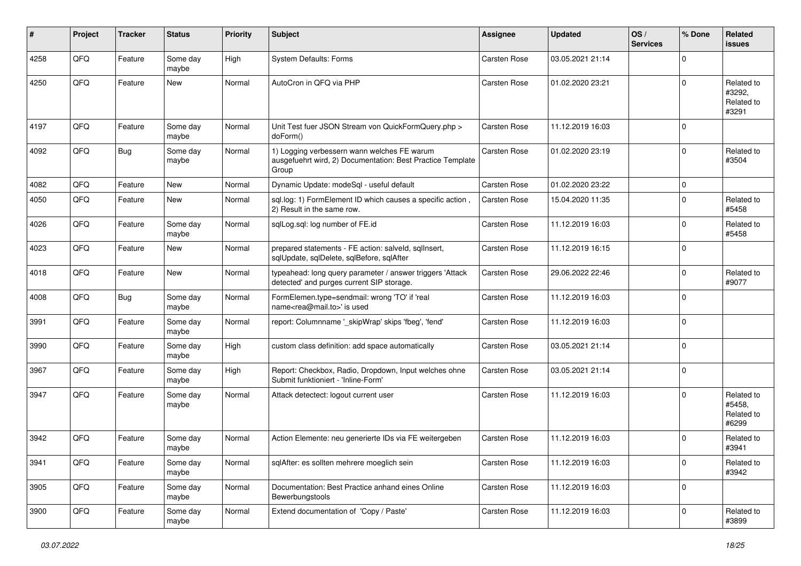| ∦    | Project | <b>Tracker</b> | <b>Status</b>     | <b>Priority</b> | Subject                                                                                                            | <b>Assignee</b>     | <b>Updated</b>   | OS/<br><b>Services</b> | % Done      | Related<br><b>issues</b>                    |
|------|---------|----------------|-------------------|-----------------|--------------------------------------------------------------------------------------------------------------------|---------------------|------------------|------------------------|-------------|---------------------------------------------|
| 4258 | QFQ     | Feature        | Some day<br>maybe | High            | System Defaults: Forms                                                                                             | Carsten Rose        | 03.05.2021 21:14 |                        | $\Omega$    |                                             |
| 4250 | QFQ     | Feature        | New               | Normal          | AutoCron in QFQ via PHP                                                                                            | <b>Carsten Rose</b> | 01.02.2020 23:21 |                        | $\Omega$    | Related to<br>#3292,<br>Related to<br>#3291 |
| 4197 | QFQ     | Feature        | Some day<br>maybe | Normal          | Unit Test fuer JSON Stream von QuickFormQuery.php ><br>doForm()                                                    | <b>Carsten Rose</b> | 11.12.2019 16:03 |                        | $\mathbf 0$ |                                             |
| 4092 | QFQ     | <b>Bug</b>     | Some day<br>maybe | Normal          | 1) Logging verbessern wann welches FE warum<br>ausgefuehrt wird, 2) Documentation: Best Practice Template<br>Group | Carsten Rose        | 01.02.2020 23:19 |                        | $\mathbf 0$ | Related to<br>#3504                         |
| 4082 | QFQ     | Feature        | <b>New</b>        | Normal          | Dynamic Update: modeSql - useful default                                                                           | Carsten Rose        | 01.02.2020 23:22 |                        | $\mathbf 0$ |                                             |
| 4050 | QFQ     | Feature        | <b>New</b>        | Normal          | sql.log: 1) FormElement ID which causes a specific action,<br>2) Result in the same row.                           | Carsten Rose        | 15.04.2020 11:35 |                        | $\Omega$    | Related to<br>#5458                         |
| 4026 | QFQ     | Feature        | Some day<br>maybe | Normal          | sqlLog.sql: log number of FE.id                                                                                    | Carsten Rose        | 11.12.2019 16:03 |                        | $\Omega$    | Related to<br>#5458                         |
| 4023 | QFQ     | Feature        | New               | Normal          | prepared statements - FE action: salveld, sqllnsert,<br>sqlUpdate, sqlDelete, sqlBefore, sqlAfter                  | Carsten Rose        | 11.12.2019 16:15 |                        | $\mathbf 0$ |                                             |
| 4018 | QFQ     | Feature        | <b>New</b>        | Normal          | typeahead: long query parameter / answer triggers 'Attack<br>detected' and purges current SIP storage.             | Carsten Rose        | 29.06.2022 22:46 |                        | $\Omega$    | Related to<br>#9077                         |
| 4008 | QFQ     | <b>Bug</b>     | Some day<br>maybe | Normal          | FormElemen.type=sendmail: wrong 'TO' if 'real<br>name <rea@mail.to>' is used</rea@mail.to>                         | Carsten Rose        | 11.12.2019 16:03 |                        | $\mathbf 0$ |                                             |
| 3991 | QFQ     | Feature        | Some day<br>maybe | Normal          | report: Columnname '_skipWrap' skips 'fbeg', 'fend'                                                                | Carsten Rose        | 11.12.2019 16:03 |                        | $\mathbf 0$ |                                             |
| 3990 | QFQ     | Feature        | Some day<br>maybe | High            | custom class definition: add space automatically                                                                   | Carsten Rose        | 03.05.2021 21:14 |                        | $\mathbf 0$ |                                             |
| 3967 | QFQ     | Feature        | Some day<br>maybe | High            | Report: Checkbox, Radio, Dropdown, Input welches ohne<br>Submit funktioniert - 'Inline-Form'                       | Carsten Rose        | 03.05.2021 21:14 |                        | $\Omega$    |                                             |
| 3947 | QFQ     | Feature        | Some day<br>maybe | Normal          | Attack detectect: logout current user                                                                              | Carsten Rose        | 11.12.2019 16:03 |                        | $\Omega$    | Related to<br>#5458.<br>Related to<br>#6299 |
| 3942 | QFQ     | Feature        | Some day<br>maybe | Normal          | Action Elemente: neu generierte IDs via FE weitergeben                                                             | Carsten Rose        | 11.12.2019 16:03 |                        | $\Omega$    | Related to<br>#3941                         |
| 3941 | QFQ     | Feature        | Some day<br>maybe | Normal          | sqlAfter: es sollten mehrere moeglich sein                                                                         | Carsten Rose        | 11.12.2019 16:03 |                        | $\mathbf 0$ | Related to<br>#3942                         |
| 3905 | QFQ     | Feature        | Some day<br>maybe | Normal          | Documentation: Best Practice anhand eines Online<br>Bewerbungstools                                                | Carsten Rose        | 11.12.2019 16:03 |                        | $\mathbf 0$ |                                             |
| 3900 | QFQ     | Feature        | Some day<br>maybe | Normal          | Extend documentation of 'Copy / Paste'                                                                             | Carsten Rose        | 11.12.2019 16:03 |                        | $\mathbf 0$ | Related to<br>#3899                         |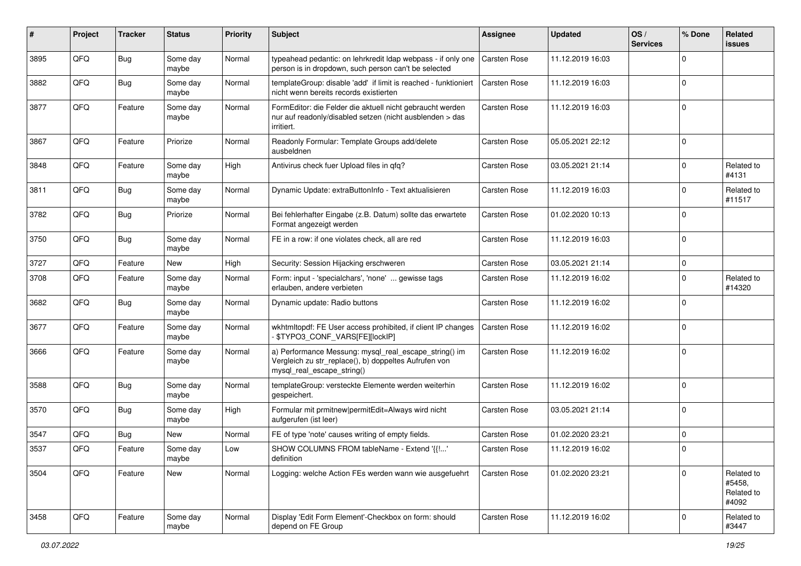| $\pmb{\#}$ | Project | <b>Tracker</b> | <b>Status</b>     | <b>Priority</b> | <b>Subject</b>                                                                                                                               | <b>Assignee</b>     | <b>Updated</b>   | OS/<br><b>Services</b> | % Done      | Related<br><b>issues</b>                    |
|------------|---------|----------------|-------------------|-----------------|----------------------------------------------------------------------------------------------------------------------------------------------|---------------------|------------------|------------------------|-------------|---------------------------------------------|
| 3895       | QFQ     | Bug            | Some day<br>maybe | Normal          | typeahead pedantic: on lehrkredit Idap webpass - if only one<br>person is in dropdown, such person can't be selected                         | <b>Carsten Rose</b> | 11.12.2019 16:03 |                        | $\Omega$    |                                             |
| 3882       | QFQ     | <b>Bug</b>     | Some day<br>maybe | Normal          | templateGroup: disable 'add' if limit is reached - funktioniert<br>nicht wenn bereits records existierten                                    | Carsten Rose        | 11.12.2019 16:03 |                        | $\mathbf 0$ |                                             |
| 3877       | QFQ     | Feature        | Some day<br>maybe | Normal          | FormEditor: die Felder die aktuell nicht gebraucht werden<br>nur auf readonly/disabled setzen (nicht ausblenden > das<br>irritiert.          | <b>Carsten Rose</b> | 11.12.2019 16:03 |                        | $\mathbf 0$ |                                             |
| 3867       | QFQ     | Feature        | Priorize          | Normal          | Readonly Formular: Template Groups add/delete<br>ausbeldnen                                                                                  | Carsten Rose        | 05.05.2021 22:12 |                        | $\mathbf 0$ |                                             |
| 3848       | QFQ     | Feature        | Some day<br>maybe | High            | Antivirus check fuer Upload files in qfq?                                                                                                    | Carsten Rose        | 03.05.2021 21:14 |                        | 0           | Related to<br>#4131                         |
| 3811       | QFQ     | <b>Bug</b>     | Some day<br>maybe | Normal          | Dynamic Update: extraButtonInfo - Text aktualisieren                                                                                         | Carsten Rose        | 11.12.2019 16:03 |                        | $\mathbf 0$ | Related to<br>#11517                        |
| 3782       | QFQ     | <b>Bug</b>     | Priorize          | Normal          | Bei fehlerhafter Eingabe (z.B. Datum) sollte das erwartete<br>Format angezeigt werden                                                        | Carsten Rose        | 01.02.2020 10:13 |                        | $\mathbf 0$ |                                             |
| 3750       | QFQ     | <b>Bug</b>     | Some day<br>maybe | Normal          | FE in a row: if one violates check, all are red                                                                                              | Carsten Rose        | 11.12.2019 16:03 |                        | $\mathbf 0$ |                                             |
| 3727       | QFQ     | Feature        | <b>New</b>        | High            | Security: Session Hijacking erschweren                                                                                                       | <b>Carsten Rose</b> | 03.05.2021 21:14 |                        | $\mathbf 0$ |                                             |
| 3708       | QFQ     | Feature        | Some day<br>maybe | Normal          | Form: input - 'specialchars', 'none'  gewisse tags<br>erlauben, andere verbieten                                                             | Carsten Rose        | 11.12.2019 16:02 |                        | $\Omega$    | Related to<br>#14320                        |
| 3682       | QFQ     | Bug            | Some day<br>maybe | Normal          | Dynamic update: Radio buttons                                                                                                                | Carsten Rose        | 11.12.2019 16:02 |                        | $\mathbf 0$ |                                             |
| 3677       | QFQ     | Feature        | Some day<br>maybe | Normal          | wkhtmltopdf: FE User access prohibited, if client IP changes<br>\$TYPO3_CONF_VARS[FE][lockIP]                                                | Carsten Rose        | 11.12.2019 16:02 |                        | $\Omega$    |                                             |
| 3666       | QFQ     | Feature        | Some day<br>maybe | Normal          | a) Performance Messung: mysql_real_escape_string() im<br>Vergleich zu str_replace(), b) doppeltes Aufrufen von<br>mysql_real_escape_string() | Carsten Rose        | 11.12.2019 16:02 |                        | $\mathbf 0$ |                                             |
| 3588       | QFQ     | <b>Bug</b>     | Some day<br>maybe | Normal          | templateGroup: versteckte Elemente werden weiterhin<br>gespeichert.                                                                          | Carsten Rose        | 11.12.2019 16:02 |                        | $\mathbf 0$ |                                             |
| 3570       | QFQ     | Bug            | Some day<br>maybe | High            | Formular mit prmitnew permitEdit=Always wird nicht<br>aufgerufen (ist leer)                                                                  | Carsten Rose        | 03.05.2021 21:14 |                        | $\mathbf 0$ |                                             |
| 3547       | QFQ     | Bug            | <b>New</b>        | Normal          | FE of type 'note' causes writing of empty fields.                                                                                            | <b>Carsten Rose</b> | 01.02.2020 23:21 |                        | 0           |                                             |
| 3537       | QFQ     | Feature        | Some day<br>maybe | Low             | SHOW COLUMNS FROM tableName - Extend '{{!'<br>definition                                                                                     | Carsten Rose        | 11.12.2019 16:02 |                        | $\Omega$    |                                             |
| 3504       | QFQ     | Feature        | New               | Normal          | Logging: welche Action FEs werden wann wie ausgefuehrt                                                                                       | Carsten Rose        | 01.02.2020 23:21 |                        | $\Omega$    | Related to<br>#5458,<br>Related to<br>#4092 |
| 3458       | QFQ     | Feature        | Some day<br>maybe | Normal          | Display 'Edit Form Element'-Checkbox on form: should<br>depend on FE Group                                                                   | Carsten Rose        | 11.12.2019 16:02 |                        | $\mathbf 0$ | Related to<br>#3447                         |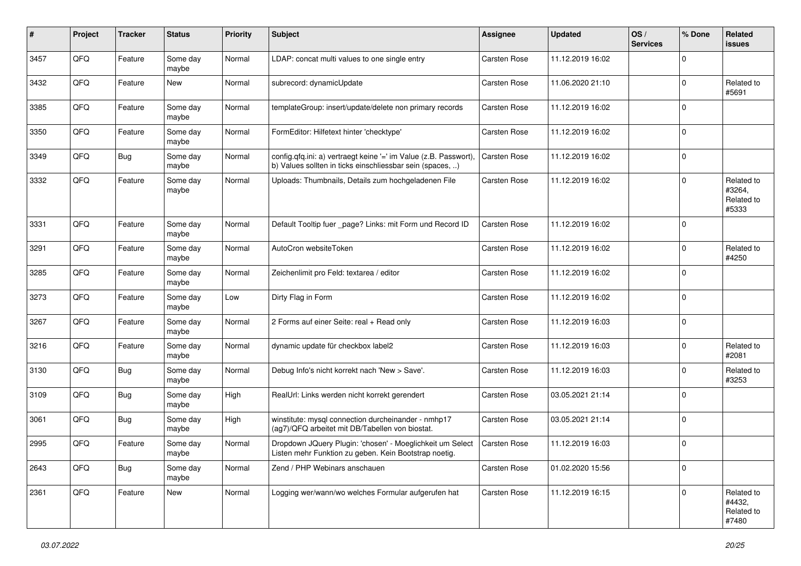| #    | Project | <b>Tracker</b> | <b>Status</b>     | <b>Priority</b> | Subject                                                                                                                       | <b>Assignee</b>     | <b>Updated</b>   | OS/<br><b>Services</b> | % Done      | <b>Related</b><br><b>issues</b>             |
|------|---------|----------------|-------------------|-----------------|-------------------------------------------------------------------------------------------------------------------------------|---------------------|------------------|------------------------|-------------|---------------------------------------------|
| 3457 | QFQ     | Feature        | Some day<br>maybe | Normal          | LDAP: concat multi values to one single entry                                                                                 | Carsten Rose        | 11.12.2019 16:02 |                        | $\Omega$    |                                             |
| 3432 | QFQ     | Feature        | New               | Normal          | subrecord: dynamicUpdate                                                                                                      | <b>Carsten Rose</b> | 11.06.2020 21:10 |                        | $\mathbf 0$ | Related to<br>#5691                         |
| 3385 | QFQ     | Feature        | Some day<br>maybe | Normal          | templateGroup: insert/update/delete non primary records                                                                       | Carsten Rose        | 11.12.2019 16:02 |                        | $\Omega$    |                                             |
| 3350 | QFQ     | Feature        | Some day<br>maybe | Normal          | FormEditor: Hilfetext hinter 'checktype'                                                                                      | Carsten Rose        | 11.12.2019 16:02 |                        | $\mathbf 0$ |                                             |
| 3349 | QFQ     | Bug            | Some day<br>maybe | Normal          | config.qfq.ini: a) vertraegt keine '=' im Value (z.B. Passwort),<br>b) Values sollten in ticks einschliessbar sein (spaces, ) | Carsten Rose        | 11.12.2019 16:02 |                        | $\mathbf 0$ |                                             |
| 3332 | QFQ     | Feature        | Some day<br>maybe | Normal          | Uploads: Thumbnails, Details zum hochgeladenen File                                                                           | Carsten Rose        | 11.12.2019 16:02 |                        | $\mathbf 0$ | Related to<br>#3264,<br>Related to<br>#5333 |
| 3331 | QFQ     | Feature        | Some day<br>maybe | Normal          | Default Tooltip fuer _page? Links: mit Form und Record ID                                                                     | Carsten Rose        | 11.12.2019 16:02 |                        | $\mathbf 0$ |                                             |
| 3291 | QFQ     | Feature        | Some day<br>maybe | Normal          | AutoCron websiteToken                                                                                                         | Carsten Rose        | 11.12.2019 16:02 |                        | $\mathbf 0$ | Related to<br>#4250                         |
| 3285 | QFQ     | Feature        | Some day<br>maybe | Normal          | Zeichenlimit pro Feld: textarea / editor                                                                                      | Carsten Rose        | 11.12.2019 16:02 |                        | $\mathbf 0$ |                                             |
| 3273 | QFQ     | Feature        | Some day<br>maybe | Low             | Dirty Flag in Form                                                                                                            | Carsten Rose        | 11.12.2019 16:02 |                        | $\mathbf 0$ |                                             |
| 3267 | QFQ     | Feature        | Some day<br>maybe | Normal          | 2 Forms auf einer Seite: real + Read only                                                                                     | Carsten Rose        | 11.12.2019 16:03 |                        | $\mathbf 0$ |                                             |
| 3216 | QFQ     | Feature        | Some day<br>maybe | Normal          | dynamic update für checkbox label2                                                                                            | Carsten Rose        | 11.12.2019 16:03 |                        | $\Omega$    | Related to<br>#2081                         |
| 3130 | QFQ     | Bug            | Some day<br>maybe | Normal          | Debug Info's nicht korrekt nach 'New > Save'.                                                                                 | <b>Carsten Rose</b> | 11.12.2019 16:03 |                        | $\mathbf 0$ | Related to<br>#3253                         |
| 3109 | QFQ     | <b>Bug</b>     | Some day<br>maybe | High            | RealUrl: Links werden nicht korrekt gerendert                                                                                 | Carsten Rose        | 03.05.2021 21:14 |                        | $\Omega$    |                                             |
| 3061 | QFQ     | <b>Bug</b>     | Some day<br>maybe | High            | winstitute: mysql connection durcheinander - nmhp17<br>(ag7)/QFQ arbeitet mit DB/Tabellen von biostat.                        | <b>Carsten Rose</b> | 03.05.2021 21:14 |                        | $\mathbf 0$ |                                             |
| 2995 | QFQ     | Feature        | Some day<br>maybe | Normal          | Dropdown JQuery Plugin: 'chosen' - Moeglichkeit um Select<br>Listen mehr Funktion zu geben. Kein Bootstrap noetig.            | <b>Carsten Rose</b> | 11.12.2019 16:03 |                        | $\mathbf 0$ |                                             |
| 2643 | QFQ     | <b>Bug</b>     | Some day<br>maybe | Normal          | Zend / PHP Webinars anschauen                                                                                                 | Carsten Rose        | 01.02.2020 15:56 |                        | $\mathbf 0$ |                                             |
| 2361 | QFQ     | Feature        | <b>New</b>        | Normal          | Logging wer/wann/wo welches Formular aufgerufen hat                                                                           | Carsten Rose        | 11.12.2019 16:15 |                        | $\mathbf 0$ | Related to<br>#4432,<br>Related to<br>#7480 |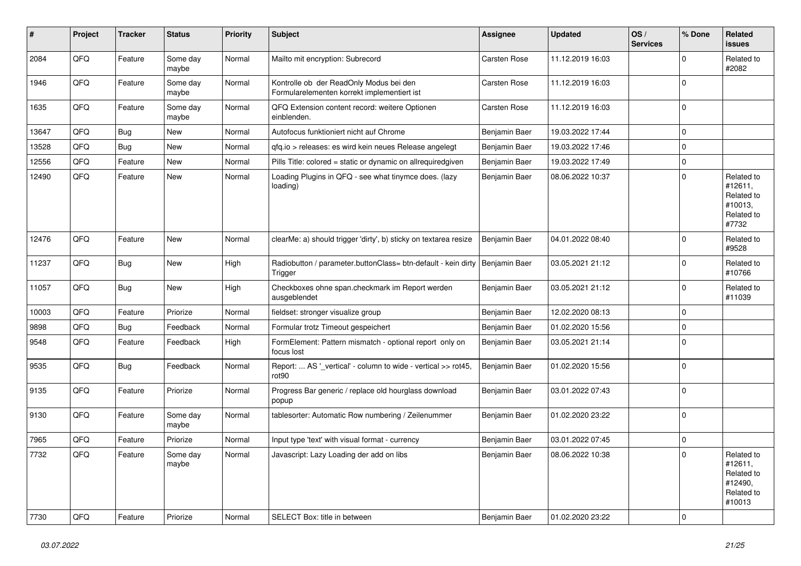| #     | Project | <b>Tracker</b> | <b>Status</b>     | <b>Priority</b> | <b>Subject</b>                                                                         | Assignee      | <b>Updated</b>   | OS/<br><b>Services</b> | % Done      | Related<br><b>issues</b>                                               |
|-------|---------|----------------|-------------------|-----------------|----------------------------------------------------------------------------------------|---------------|------------------|------------------------|-------------|------------------------------------------------------------------------|
| 2084  | QFQ     | Feature        | Some day<br>maybe | Normal          | Mailto mit encryption: Subrecord                                                       | Carsten Rose  | 11.12.2019 16:03 |                        | $\Omega$    | Related to<br>#2082                                                    |
| 1946  | QFQ     | Feature        | Some day<br>maybe | Normal          | Kontrolle ob der ReadOnly Modus bei den<br>Formularelementen korrekt implementiert ist | Carsten Rose  | 11.12.2019 16:03 |                        | $\mathbf 0$ |                                                                        |
| 1635  | QFQ     | Feature        | Some day<br>maybe | Normal          | QFQ Extension content record: weitere Optionen<br>einblenden.                          | Carsten Rose  | 11.12.2019 16:03 |                        | $\mathbf 0$ |                                                                        |
| 13647 | QFQ     | Bug            | <b>New</b>        | Normal          | Autofocus funktioniert nicht auf Chrome                                                | Benjamin Baer | 19.03.2022 17:44 |                        | $\mathbf 0$ |                                                                        |
| 13528 | QFQ     | <b>Bug</b>     | <b>New</b>        | Normal          | qfq.io > releases: es wird kein neues Release angelegt                                 | Benjamin Baer | 19.03.2022 17:46 |                        | $\mathbf 0$ |                                                                        |
| 12556 | QFQ     | Feature        | <b>New</b>        | Normal          | Pills Title: colored = static or dynamic on allrequiredgiven                           | Benjamin Baer | 19.03.2022 17:49 |                        | $\pmb{0}$   |                                                                        |
| 12490 | QFQ     | Feature        | New               | Normal          | Loading Plugins in QFQ - see what tinymce does. (lazy<br>loading)                      | Benjamin Baer | 08.06.2022 10:37 |                        | $\Omega$    | Related to<br>#12611,<br>Related to<br>#10013,<br>Related to<br>#7732  |
| 12476 | QFQ     | Feature        | <b>New</b>        | Normal          | clearMe: a) should trigger 'dirty', b) sticky on textarea resize                       | Benjamin Baer | 04.01.2022 08:40 |                        | $\Omega$    | Related to<br>#9528                                                    |
| 11237 | QFQ     | Bug            | <b>New</b>        | High            | Radiobutton / parameter.buttonClass= btn-default - kein dirty<br>Trigger               | Benjamin Baer | 03.05.2021 21:12 |                        | $\Omega$    | Related to<br>#10766                                                   |
| 11057 | QFQ     | <b>Bug</b>     | New               | High            | Checkboxes ohne span.checkmark im Report werden<br>ausgeblendet                        | Benjamin Baer | 03.05.2021 21:12 |                        | $\Omega$    | Related to<br>#11039                                                   |
| 10003 | QFQ     | Feature        | Priorize          | Normal          | fieldset: stronger visualize group                                                     | Benjamin Baer | 12.02.2020 08:13 |                        | $\mathbf 0$ |                                                                        |
| 9898  | QFQ     | Bug            | Feedback          | Normal          | Formular trotz Timeout gespeichert                                                     | Benjamin Baer | 01.02.2020 15:56 |                        | $\pmb{0}$   |                                                                        |
| 9548  | QFQ     | Feature        | Feedback          | High            | FormElement: Pattern mismatch - optional report only on<br>focus lost                  | Benjamin Baer | 03.05.2021 21:14 |                        | $\mathbf 0$ |                                                                        |
| 9535  | QFQ     | Bug            | Feedback          | Normal          | Report:  AS ' vertical' - column to wide - vertical >> rot45,<br>rot90                 | Benjamin Baer | 01.02.2020 15:56 |                        | $\mathbf 0$ |                                                                        |
| 9135  | QFQ     | Feature        | Priorize          | Normal          | Progress Bar generic / replace old hourglass download<br>popup                         | Benjamin Baer | 03.01.2022 07:43 |                        | $\mathbf 0$ |                                                                        |
| 9130  | QFQ     | Feature        | Some day<br>maybe | Normal          | tablesorter: Automatic Row numbering / Zeilenummer                                     | Benjamin Baer | 01.02.2020 23:22 |                        | $\Omega$    |                                                                        |
| 7965  | QFQ     | Feature        | Priorize          | Normal          | Input type 'text' with visual format - currency                                        | Benjamin Baer | 03.01.2022 07:45 |                        | $\pmb{0}$   |                                                                        |
| 7732  | QFQ     | Feature        | Some day<br>maybe | Normal          | Javascript: Lazy Loading der add on libs                                               | Benjamin Baer | 08.06.2022 10:38 |                        | $\Omega$    | Related to<br>#12611,<br>Related to<br>#12490,<br>Related to<br>#10013 |
| 7730  | QFQ     | Feature        | Priorize          | Normal          | SELECT Box: title in between                                                           | Benjamin Baer | 01.02.2020 23:22 |                        | $\mathbf 0$ |                                                                        |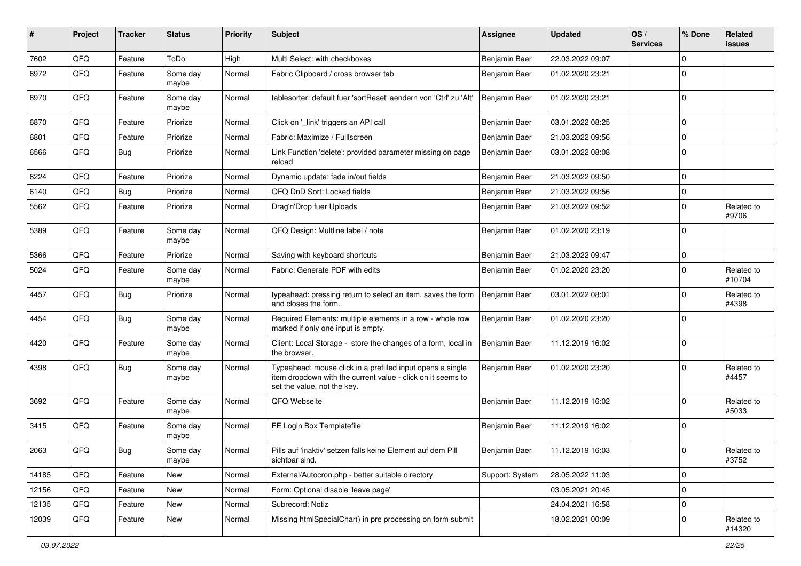| #     | Project | <b>Tracker</b> | <b>Status</b>     | <b>Priority</b> | Subject                                                                                                                                                  | <b>Assignee</b> | <b>Updated</b>   | OS/<br><b>Services</b> | % Done         | Related<br><b>issues</b> |
|-------|---------|----------------|-------------------|-----------------|----------------------------------------------------------------------------------------------------------------------------------------------------------|-----------------|------------------|------------------------|----------------|--------------------------|
| 7602  | QFQ     | Feature        | ToDo              | High            | Multi Select: with checkboxes                                                                                                                            | Benjamin Baer   | 22.03.2022 09:07 |                        | $\mathbf 0$    |                          |
| 6972  | QFQ     | Feature        | Some day<br>maybe | Normal          | Fabric Clipboard / cross browser tab                                                                                                                     | Benjamin Baer   | 01.02.2020 23:21 |                        | $\Omega$       |                          |
| 6970  | QFQ     | Feature        | Some day<br>maybe | Normal          | tablesorter: default fuer 'sortReset' aendern von 'Ctrl' zu 'Alt'                                                                                        | Benjamin Baer   | 01.02.2020 23:21 |                        | $\mathbf 0$    |                          |
| 6870  | QFQ     | Feature        | Priorize          | Normal          | Click on '_link' triggers an API call                                                                                                                    | Benjamin Baer   | 03.01.2022 08:25 |                        | 0              |                          |
| 6801  | QFQ     | Feature        | Priorize          | Normal          | Fabric: Maximize / FullIscreen                                                                                                                           | Benjamin Baer   | 21.03.2022 09:56 |                        | $\mathbf 0$    |                          |
| 6566  | QFQ     | <b>Bug</b>     | Priorize          | Normal          | Link Function 'delete': provided parameter missing on page<br>reload                                                                                     | Benjamin Baer   | 03.01.2022 08:08 |                        | 0              |                          |
| 6224  | QFQ     | Feature        | Priorize          | Normal          | Dynamic update: fade in/out fields                                                                                                                       | Benjamin Baer   | 21.03.2022 09:50 |                        | 0              |                          |
| 6140  | QFQ     | <b>Bug</b>     | Priorize          | Normal          | QFQ DnD Sort: Locked fields                                                                                                                              | Benjamin Baer   | 21.03.2022 09:56 |                        | $\mathbf 0$    |                          |
| 5562  | QFQ     | Feature        | Priorize          | Normal          | Drag'n'Drop fuer Uploads                                                                                                                                 | Benjamin Baer   | 21.03.2022 09:52 |                        | $\mathbf 0$    | Related to<br>#9706      |
| 5389  | QFQ     | Feature        | Some day<br>maybe | Normal          | QFQ Design: Multline label / note                                                                                                                        | Benjamin Baer   | 01.02.2020 23:19 |                        | 0              |                          |
| 5366  | QFQ     | Feature        | Priorize          | Normal          | Saving with keyboard shortcuts                                                                                                                           | Benjamin Baer   | 21.03.2022 09:47 |                        | 0              |                          |
| 5024  | QFQ     | Feature        | Some day<br>maybe | Normal          | Fabric: Generate PDF with edits                                                                                                                          | Benjamin Baer   | 01.02.2020 23:20 |                        | $\Omega$       | Related to<br>#10704     |
| 4457  | QFQ     | <b>Bug</b>     | Priorize          | Normal          | typeahead: pressing return to select an item, saves the form<br>and closes the form.                                                                     | Benjamin Baer   | 03.01.2022 08:01 |                        | $\mathbf 0$    | Related to<br>#4398      |
| 4454  | QFQ     | Bug            | Some day<br>maybe | Normal          | Required Elements: multiple elements in a row - whole row<br>marked if only one input is empty.                                                          | Benjamin Baer   | 01.02.2020 23:20 |                        | 0              |                          |
| 4420  | QFQ     | Feature        | Some day<br>maybe | Normal          | Client: Local Storage - store the changes of a form, local in<br>the browser.                                                                            | Benjamin Baer   | 11.12.2019 16:02 |                        | 0              |                          |
| 4398  | QFQ     | <b>Bug</b>     | Some day<br>maybe | Normal          | Typeahead: mouse click in a prefilled input opens a single<br>item dropdown with the current value - click on it seems to<br>set the value, not the key. | Benjamin Baer   | 01.02.2020 23:20 |                        | $\mathbf 0$    | Related to<br>#4457      |
| 3692  | QFQ     | Feature        | Some day<br>maybe | Normal          | QFQ Webseite                                                                                                                                             | Benjamin Baer   | 11.12.2019 16:02 |                        | 0              | Related to<br>#5033      |
| 3415  | QFQ     | Feature        | Some day<br>maybe | Normal          | FE Login Box Templatefile                                                                                                                                | Benjamin Baer   | 11.12.2019 16:02 |                        | 0              |                          |
| 2063  | QFQ     | Bug            | Some day<br>maybe | Normal          | Pills auf 'inaktiv' setzen falls keine Element auf dem Pill<br>sichtbar sind.                                                                            | Benjamin Baer   | 11.12.2019 16:03 |                        | 0              | Related to<br>#3752      |
| 14185 | QFQ     | Feature        | New               | Normal          | External/Autocron.php - better suitable directory                                                                                                        | Support: System | 28.05.2022 11:03 |                        | $\overline{0}$ |                          |
| 12156 | QFQ     | Feature        | New               | Normal          | Form: Optional disable 'leave page'                                                                                                                      |                 | 03.05.2021 20:45 |                        | 0              |                          |
| 12135 | QFQ     | Feature        | New               | Normal          | Subrecord: Notiz                                                                                                                                         |                 | 24.04.2021 16:58 |                        | 0              |                          |
| 12039 | QFQ     | Feature        | New               | Normal          | Missing htmlSpecialChar() in pre processing on form submit                                                                                               |                 | 18.02.2021 00:09 |                        | 0              | Related to<br>#14320     |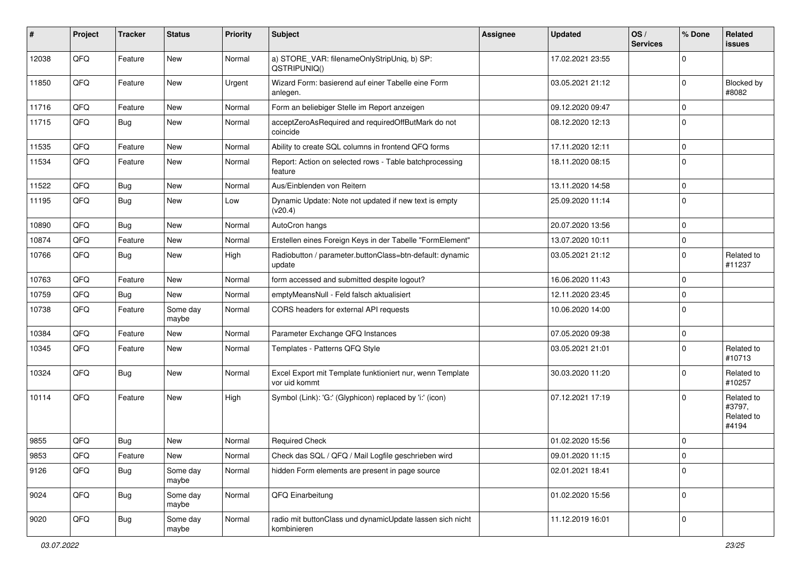| #     | Project | <b>Tracker</b> | <b>Status</b>     | <b>Priority</b> | <b>Subject</b>                                                             | <b>Assignee</b> | <b>Updated</b>   | OS/<br><b>Services</b> | % Done      | Related<br><b>issues</b>                    |
|-------|---------|----------------|-------------------|-----------------|----------------------------------------------------------------------------|-----------------|------------------|------------------------|-------------|---------------------------------------------|
| 12038 | QFQ     | Feature        | <b>New</b>        | Normal          | a) STORE_VAR: filenameOnlyStripUniq, b) SP:<br>QSTRIPUNIQ()                |                 | 17.02.2021 23:55 |                        | $\Omega$    |                                             |
| 11850 | QFQ     | Feature        | New               | Urgent          | Wizard Form: basierend auf einer Tabelle eine Form<br>anlegen.             |                 | 03.05.2021 21:12 |                        | $\mathbf 0$ | Blocked by<br>#8082                         |
| 11716 | QFQ     | Feature        | New               | Normal          | Form an beliebiger Stelle im Report anzeigen                               |                 | 09.12.2020 09:47 |                        | $\mathbf 0$ |                                             |
| 11715 | QFQ     | Bug            | New               | Normal          | acceptZeroAsRequired and requiredOffButMark do not<br>coincide             |                 | 08.12.2020 12:13 |                        | $\mathbf 0$ |                                             |
| 11535 | QFQ     | Feature        | <b>New</b>        | Normal          | Ability to create SQL columns in frontend QFQ forms                        |                 | 17.11.2020 12:11 |                        | $\mathbf 0$ |                                             |
| 11534 | QFQ     | Feature        | New               | Normal          | Report: Action on selected rows - Table batchprocessing<br>feature         |                 | 18.11.2020 08:15 |                        | $\mathbf 0$ |                                             |
| 11522 | QFQ     | Bug            | New               | Normal          | Aus/Einblenden von Reitern                                                 |                 | 13.11.2020 14:58 |                        | $\mathbf 0$ |                                             |
| 11195 | QFQ     | <b>Bug</b>     | <b>New</b>        | Low             | Dynamic Update: Note not updated if new text is empty<br>(v20.4)           |                 | 25.09.2020 11:14 |                        | $\mathbf 0$ |                                             |
| 10890 | QFQ     | Bug            | New               | Normal          | AutoCron hangs                                                             |                 | 20.07.2020 13:56 |                        | $\mathbf 0$ |                                             |
| 10874 | QFQ     | Feature        | <b>New</b>        | Normal          | Erstellen eines Foreign Keys in der Tabelle "FormElement"                  |                 | 13.07.2020 10:11 |                        | $\mathbf 0$ |                                             |
| 10766 | QFQ     | <b>Bug</b>     | New               | High            | Radiobutton / parameter.buttonClass=btn-default: dynamic<br>update         |                 | 03.05.2021 21:12 |                        | $\mathbf 0$ | Related to<br>#11237                        |
| 10763 | QFQ     | Feature        | New               | Normal          | form accessed and submitted despite logout?                                |                 | 16.06.2020 11:43 |                        | 0           |                                             |
| 10759 | QFQ     | <b>Bug</b>     | New               | Normal          | emptyMeansNull - Feld falsch aktualisiert                                  |                 | 12.11.2020 23:45 |                        | $\mathbf 0$ |                                             |
| 10738 | QFQ     | Feature        | Some day<br>maybe | Normal          | CORS headers for external API requests                                     |                 | 10.06.2020 14:00 |                        | $\mathbf 0$ |                                             |
| 10384 | QFQ     | Feature        | <b>New</b>        | Normal          | Parameter Exchange QFQ Instances                                           |                 | 07.05.2020 09:38 |                        | $\mathbf 0$ |                                             |
| 10345 | QFQ     | Feature        | New               | Normal          | Templates - Patterns QFQ Style                                             |                 | 03.05.2021 21:01 |                        | $\Omega$    | Related to<br>#10713                        |
| 10324 | QFQ     | Bug            | <b>New</b>        | Normal          | Excel Export mit Template funktioniert nur, wenn Template<br>vor uid kommt |                 | 30.03.2020 11:20 |                        | $\Omega$    | Related to<br>#10257                        |
| 10114 | QFQ     | Feature        | <b>New</b>        | High            | Symbol (Link): 'G:' (Glyphicon) replaced by 'i:' (icon)                    |                 | 07.12.2021 17:19 |                        | $\Omega$    | Related to<br>#3797,<br>Related to<br>#4194 |
| 9855  | QFQ     | <b>Bug</b>     | <b>New</b>        | Normal          | <b>Required Check</b>                                                      |                 | 01.02.2020 15:56 |                        | $\mathbf 0$ |                                             |
| 9853  | QFQ     | Feature        | New               | Normal          | Check das SQL / QFQ / Mail Logfile geschrieben wird                        |                 | 09.01.2020 11:15 |                        | 0           |                                             |
| 9126  | QFQ     | <b>Bug</b>     | Some day<br>maybe | Normal          | hidden Form elements are present in page source                            |                 | 02.01.2021 18:41 |                        | $\mathbf 0$ |                                             |
| 9024  | QFQ     | <b>Bug</b>     | Some day<br>maybe | Normal          | QFQ Einarbeitung                                                           |                 | 01.02.2020 15:56 |                        | $\mathbf 0$ |                                             |
| 9020  | QFQ     | <b>Bug</b>     | Some day<br>maybe | Normal          | radio mit buttonClass und dynamicUpdate lassen sich nicht<br>kombinieren   |                 | 11.12.2019 16:01 |                        | $\mathbf 0$ |                                             |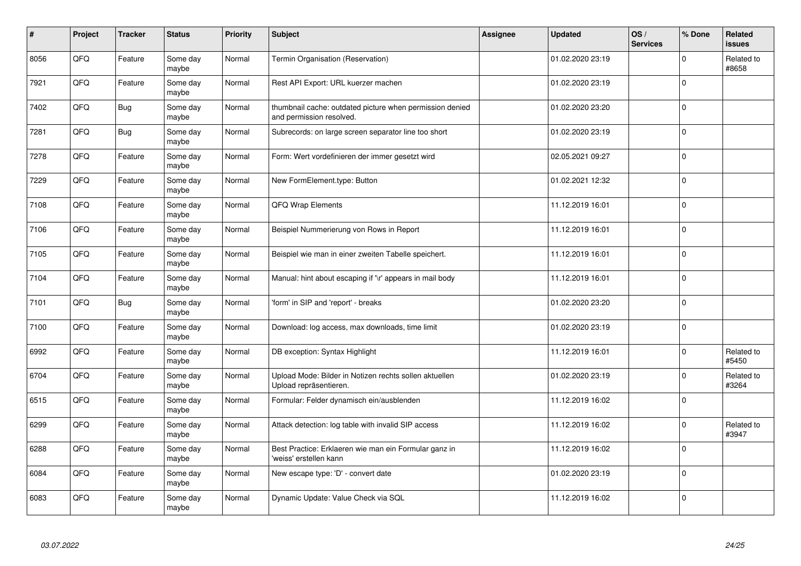| #    | Project | <b>Tracker</b> | <b>Status</b>     | <b>Priority</b> | <b>Subject</b>                                                                       | Assignee | <b>Updated</b>   | OS/<br><b>Services</b> | % Done       | <b>Related</b><br><b>issues</b> |
|------|---------|----------------|-------------------|-----------------|--------------------------------------------------------------------------------------|----------|------------------|------------------------|--------------|---------------------------------|
| 8056 | QFQ     | Feature        | Some day<br>maybe | Normal          | Termin Organisation (Reservation)                                                    |          | 01.02.2020 23:19 |                        | $\mathbf 0$  | Related to<br>#8658             |
| 7921 | QFQ     | Feature        | Some day<br>maybe | Normal          | Rest API Export: URL kuerzer machen                                                  |          | 01.02.2020 23:19 |                        | $\mathbf{0}$ |                                 |
| 7402 | QFQ     | Bug            | Some day<br>maybe | Normal          | thumbnail cache: outdated picture when permission denied<br>and permission resolved. |          | 01.02.2020 23:20 |                        | $\mathbf 0$  |                                 |
| 7281 | QFQ     | <b>Bug</b>     | Some day<br>maybe | Normal          | Subrecords: on large screen separator line too short                                 |          | 01.02.2020 23:19 |                        | $\mathbf 0$  |                                 |
| 7278 | QFQ     | Feature        | Some day<br>maybe | Normal          | Form: Wert vordefinieren der immer gesetzt wird                                      |          | 02.05.2021 09:27 |                        | $\mathbf 0$  |                                 |
| 7229 | QFQ     | Feature        | Some day<br>maybe | Normal          | New FormElement.type: Button                                                         |          | 01.02.2021 12:32 |                        | $\mathbf 0$  |                                 |
| 7108 | QFQ     | Feature        | Some day<br>maybe | Normal          | QFQ Wrap Elements                                                                    |          | 11.12.2019 16:01 |                        | $\mathbf 0$  |                                 |
| 7106 | QFQ     | Feature        | Some day<br>maybe | Normal          | Beispiel Nummerierung von Rows in Report                                             |          | 11.12.2019 16:01 |                        | $\mathbf 0$  |                                 |
| 7105 | QFQ     | Feature        | Some day<br>maybe | Normal          | Beispiel wie man in einer zweiten Tabelle speichert.                                 |          | 11.12.2019 16:01 |                        | $\pmb{0}$    |                                 |
| 7104 | QFQ     | Feature        | Some day<br>maybe | Normal          | Manual: hint about escaping if '\r' appears in mail body                             |          | 11.12.2019 16:01 |                        | $\mathbf 0$  |                                 |
| 7101 | QFQ     | <b>Bug</b>     | Some day<br>maybe | Normal          | 'form' in SIP and 'report' - breaks                                                  |          | 01.02.2020 23:20 |                        | $\pmb{0}$    |                                 |
| 7100 | QFQ     | Feature        | Some day<br>maybe | Normal          | Download: log access, max downloads, time limit                                      |          | 01.02.2020 23:19 |                        | $\mathbf 0$  |                                 |
| 6992 | QFQ     | Feature        | Some day<br>maybe | Normal          | DB exception: Syntax Highlight                                                       |          | 11.12.2019 16:01 |                        | $\mathbf 0$  | Related to<br>#5450             |
| 6704 | QFQ     | Feature        | Some day<br>maybe | Normal          | Upload Mode: Bilder in Notizen rechts sollen aktuellen<br>Upload repräsentieren.     |          | 01.02.2020 23:19 |                        | $\pmb{0}$    | Related to<br>#3264             |
| 6515 | QFQ     | Feature        | Some day<br>maybe | Normal          | Formular: Felder dynamisch ein/ausblenden                                            |          | 11.12.2019 16:02 |                        | $\mathbf 0$  |                                 |
| 6299 | QFQ     | Feature        | Some day<br>maybe | Normal          | Attack detection: log table with invalid SIP access                                  |          | 11.12.2019 16:02 |                        | $\mathbf 0$  | Related to<br>#3947             |
| 6288 | QFQ     | Feature        | Some day<br>maybe | Normal          | Best Practice: Erklaeren wie man ein Formular ganz in<br>'weiss' erstellen kann      |          | 11.12.2019 16:02 |                        | $\mathbf 0$  |                                 |
| 6084 | QFQ     | Feature        | Some day<br>maybe | Normal          | New escape type: 'D' - convert date                                                  |          | 01.02.2020 23:19 |                        | $\mathbf 0$  |                                 |
| 6083 | QFQ     | Feature        | Some day<br>maybe | Normal          | Dynamic Update: Value Check via SQL                                                  |          | 11.12.2019 16:02 |                        | $\mathbf 0$  |                                 |